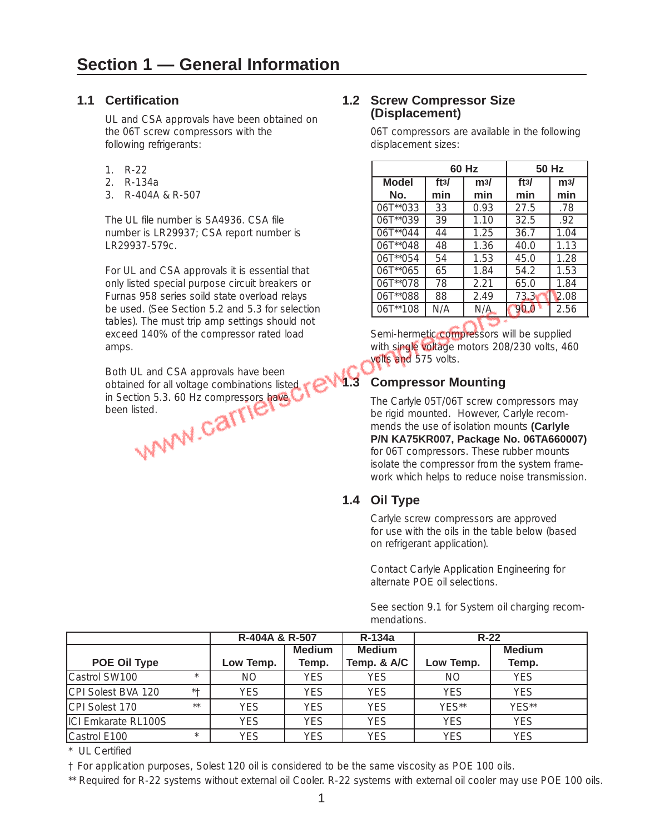## **1.1 Certification**

UL and CSA approvals have been obtained on the 06T screw compressors with the following refrigerants:

- 1. R-22
- 2. R-134a
- 3. R-404A & R-507

The UL file number is SA4936. CSA file number is LR29937; CSA report number is LR29937-579c.

For UL and CSA approvals it is essential that only listed special purpose circuit breakers or Furnas 958 series soild state overload relays be used. (See Section 5.2 and 5.3 for selection tables). The must trip amp settings should not exceed 140% of the compressor rated load amps.

Both UL and CSA approvals have been obtained for all voltage combinations listed<br>in Section 5.3. 60 Hz compressors have<br>been listed.<br>WWW.COM in Section 5.3. 60 Hz compressors have been listed.

## **1.2 Screw Compressor Size (Displacement)**

06T compressors are available in the following displacement sizes:

|               |      | 60 Hz |      | 50 Hz |
|---------------|------|-------|------|-------|
| <b>Model</b>  | ft3/ | m3/   | ft3/ | m3/   |
| No.           | min  | min   | min  | min   |
| $06T^{*}033$  | 33   | 0.93  | 27.5 | .78   |
| 06T**039      | 39   | 1.10  | 32.5 | .92   |
| $06T^{**}044$ | 44   | 1.25  | 36.7 | 1.04  |
| $06T^{*}048$  | 48   | 1.36  | 40.0 | 1.13  |
| $06T^{*}054$  | 54   | 1.53  | 45.0 | 1.28  |
| $06T^{*}065$  | 65   | 1.84  | 54.2 | 1.53  |
| 06T**078      | 78   | 2.21  | 65.0 | 1.84  |
| 06T**088      | 88   | 2.49  | 73.3 | 2.08  |
| 06T**108      | N/A  | N/A   | 90.C | 2.56  |

Semi-hermetic compressors will be supplied with single voltage motors 208/230 volts, 460 volts and 575 volts.

# **1.3 Compressor Mounting**

The Carlyle 05T/06T screw compressors may be rigid mounted. However, Carlyle recommends the use of isolation mounts **(Carlyle P/N KA75KR007, Package No. 06TA660007)** for 06T compressors. These rubber mounts isolate the compressor from the system framework which helps to reduce noise transmission.

# **1.4 Oil Type**

Carlyle screw compressors are approved for use with the oils in the table below (based on refrigerant application).

Contact Carlyle Application Engineering for alternate POE oil selections.

See section 9.1 for System oil charging recommendations.

|                     |         |            | R-134a<br>R-404A & R-507 |                              |            | $R-22$                 |
|---------------------|---------|------------|--------------------------|------------------------------|------------|------------------------|
| POE Oil Type        |         | Low Temp.  | <b>Medium</b><br>Temp.   | <b>Medium</b><br>Temp. & A/C | Low Temp.  | <b>Medium</b><br>Temp. |
| Castrol SW100       | $\star$ | ΝO         | YES                      | <b>YES</b>                   | ΝO         | <b>YES</b>             |
| CPI Solest BVA 120  | $* +$   | <b>YES</b> | <b>YES</b>               | <b>YES</b>                   | <b>YES</b> | YES                    |
| CPI Solest 170      | $***$   | <b>YES</b> | <b>YES</b>               | <b>YES</b>                   | $YFS**$    | YFS**                  |
| ICI Emkarate RL100S |         | <b>YES</b> | <b>YES</b>               | <b>YES</b>                   | <b>YES</b> | YES                    |
| Castrol E100        | $\star$ | <b>YES</b> | YES                      | <b>YFS</b>                   | <b>YES</b> | YES                    |

\* UL Certified

† For application purposes, Solest 120 oil is considered to be the same viscosity as POE 100 oils.

\*\* Required for R-22 systems without external oil Cooler. R-22 systems with external oil cooler may use POE 100 oils.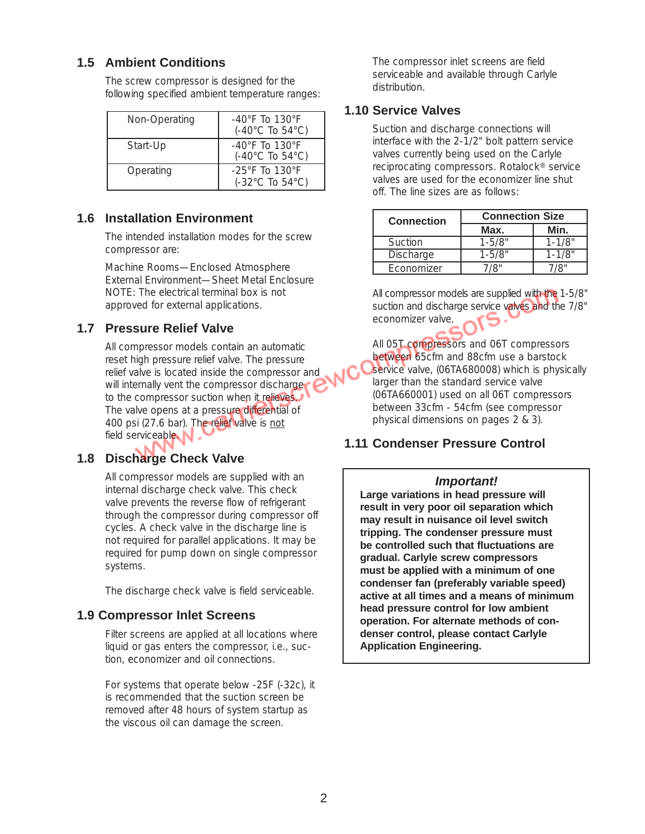# **1.5 Ambient Conditions**

The screw compressor is designed for the following specified ambient temperature ranges:

| Non-Operating | $-40^{\circ}$ F To 130 $^{\circ}$ F<br>$(-40^{\circ}$ C To 54 $^{\circ}$ C) |
|---------------|-----------------------------------------------------------------------------|
| Start-Up      | $-40^{\circ}$ F To 130 $^{\circ}$ F<br>$(-40^{\circ}$ C To 54 $^{\circ}$ C) |
| Operating     | $-25^{\circ}$ F To 130 $^{\circ}$ F<br>$(-32^{\circ}$ C To 54 $^{\circ}$ C) |

## **1.6 Installation Environment**

The intended installation modes for the screw compressor are:

Machine Rooms—Enclosed Atmosphere External Environment—Sheet Metal Enclosure NOTE: The electrical terminal box is not approved for external applications.

## **1.7 Pressure Relief Valve**

All compressor models contain an automatic reset high pressure relief valve. The pressure relief valve is located inside the compressor and will internally vent the compressor discharge to the compressor suction when it relieves. The valve opens at a pressure differential of 400 psi (27.6 bar). The relief valve is not field serviceable.

# **1.8 Discharge Check Valve**

All compressor models are supplied with an internal discharge check valve. This check valve prevents the reverse flow of refrigerant through the compressor during compressor off cycles. A check valve in the discharge line is not required for parallel applications. It may be required for pump down on single compressor systems.

The discharge check valve is field serviceable.

## **1.9 Compressor Inlet Screens**

Filter screens are applied at all locations where liquid or gas enters the compressor, i.e., suction, economizer and oil connections.

For systems that operate below -25F (-32c), it is recommended that the suction screen be removed after 48 hours of system startup as the viscous oil can damage the screen.

The compressor inlet screens are field serviceable and available through Carlyle distribution.

# **1.10 Service Valves**

Suction and discharge connections will interface with the 2-1/2" bolt pattern service valves currently being used on the Carlyle reciprocating compressors. Rotalock® service valves are used for the economizer line shut off. The line sizes are as follows:

| <b>Connection</b> | <b>Connection Size</b> |            |  |
|-------------------|------------------------|------------|--|
|                   | Max.                   | Min.       |  |
| Suction           | $1 - 5/8"$             | $1 - 1/8"$ |  |
| Discharge         | $1 - 5/8"$             | $1 - 1/8"$ |  |
| Economizer        | 78"                    |            |  |

All compressor models are supplied with the 1-5/8" suction and discharge service valves and the 7/8" economizer valve.

All 05T compressors and 06T compressors between 65cfm and 88cfm use a barstock service valve, (06TA680008) which is physically larger than the standard service valve (06TA660001) used on all 06T compressors between 33cfm - 54cfm (see compressor physical dimensions on pages 2 & 3).

# **1.11 Condenser Pressure Control**

## *Important!*

**Large variations in head pressure will result in very poor oil separation which may result in nuisance oil level switch tripping. The condenser pressure must be controlled such that fluctuations are gradual. Carlyle screw compressors must be applied with a minimum of one condenser fan (preferably variable speed) active at all times and a means of minimum head pressure control for low ambient operation. For alternate methods of condenser control, please contact Carlyle Application Engineering.**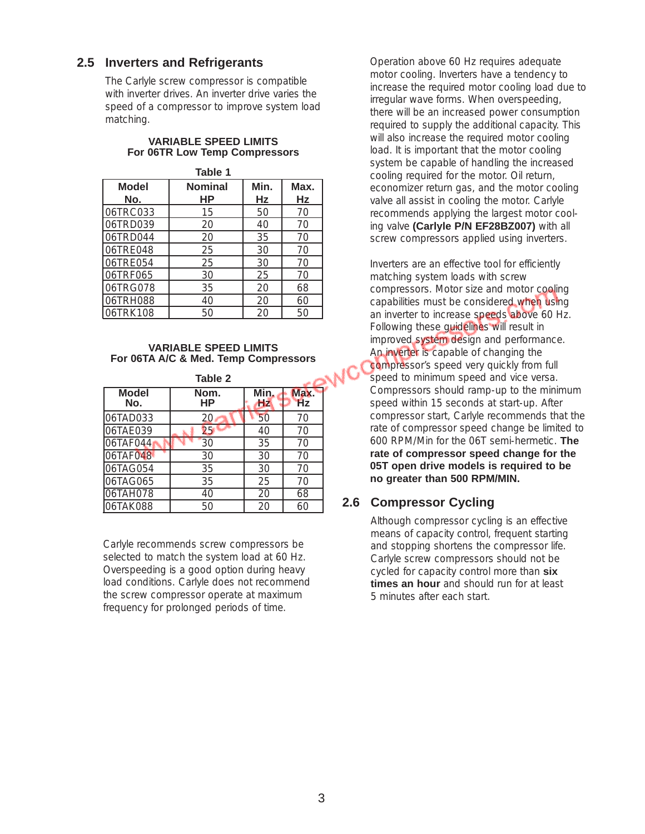## **2.5 Inverters and Refrigerants**

The Carlyle screw compressor is compatible with inverter drives. An inverter drive varies the speed of a compressor to improve system load matching.

#### **VARIABLE SPEED LIMITS For 06TR Low Temp Compressors**

| Table 1      |                |      |      |  |  |  |  |
|--------------|----------------|------|------|--|--|--|--|
| <b>Model</b> | <b>Nominal</b> | Min. | Max. |  |  |  |  |
| No.          | ΗP             | Hz   | Hz   |  |  |  |  |
| 06TRC033     | 15             | 50   | 70   |  |  |  |  |
| 06TRD039     | 20             | 40   | 70   |  |  |  |  |
| 06TRD044     | 20             | 35   | 70   |  |  |  |  |
| 06TRE048     | 25             | 30   | 70   |  |  |  |  |
| 06TRE054     | 25             | 30   | 70   |  |  |  |  |
| 06TRF065     | 30             | 25   | 70   |  |  |  |  |
| 06TRG078     | 35             | 20   | 68   |  |  |  |  |
| 06TRH088     | 40             | 20   | 60   |  |  |  |  |
| 06TRK108     | 50             | 20   | 50   |  |  |  |  |

#### **VARIABLE SPEED LIMITS For 06TA A/C & Med. Temp Compressors**

|                     | <b>Table 2</b> |                   |                   |
|---------------------|----------------|-------------------|-------------------|
| <b>Model</b><br>No. | Nom.<br>НP     | Min.<br><b>Hz</b> | Max.<br><b>Hz</b> |
| 06TAD033            | 20             | 50                | 70                |
| 06TAE039            | 25             | 40                | 70                |
| 06TAF044            | 30             | 35                | 70                |
| 06TAF048            | 30             | 30                | 70                |
| 06TAG054            | 35             | 30                | 70                |
| 06TAG065            | 35             | 25                | 70                |
| 06TAH078            | 40             | 20                | 68                |
| 06TAK088            | 50             | 20                | 60                |

Carlyle recommends screw compressors be selected to match the system load at 60 Hz. Overspeeding is a good option during heavy load conditions. Carlyle does not recommend the screw compressor operate at maximum frequency for prolonged periods of time.

Operation above 60 Hz requires adequate motor cooling. Inverters have a tendency to increase the required motor cooling load due to irregular wave forms. When overspeeding, there will be an increased power consumption required to supply the additional capacity. This will also increase the required motor cooling load. It is important that the motor cooling system be capable of handling the increased cooling required for the motor. Oil return, economizer return gas, and the motor cooling valve all assist in cooling the motor. Carlyle recommends applying the largest motor cooling valve **(Carlyle P/N EF28BZ007)** with all screw compressors applied using inverters.

Inverters are an effective tool for efficiently matching system loads with screw compressors. Motor size and motor cooling capabilities must be considered when using an inverter to increase speeds above 60 Hz. Following these guidelines will result in improved system design and performance. An inverter is capable of changing the compressor's speed very quickly from full speed to minimum speed and vice versa. Compressors should ramp-up to the minimum speed within 15 seconds at start-up. After compressor start, Carlyle recommends that the rate of compressor speed change be limited to 600 RPM/Min for the 06T semi-hermetic. **The rate of compressor speed change for the 05T open drive models is required to be no greater than 500 RPM/MIN.**

# **2.6 Compressor Cycling**

Although compressor cycling is an effective means of capacity control, frequent starting and stopping shortens the compressor life. Carlyle screw compressors should not be cycled for capacity control more than **six times an hour** and should run for at least 5 minutes after each start.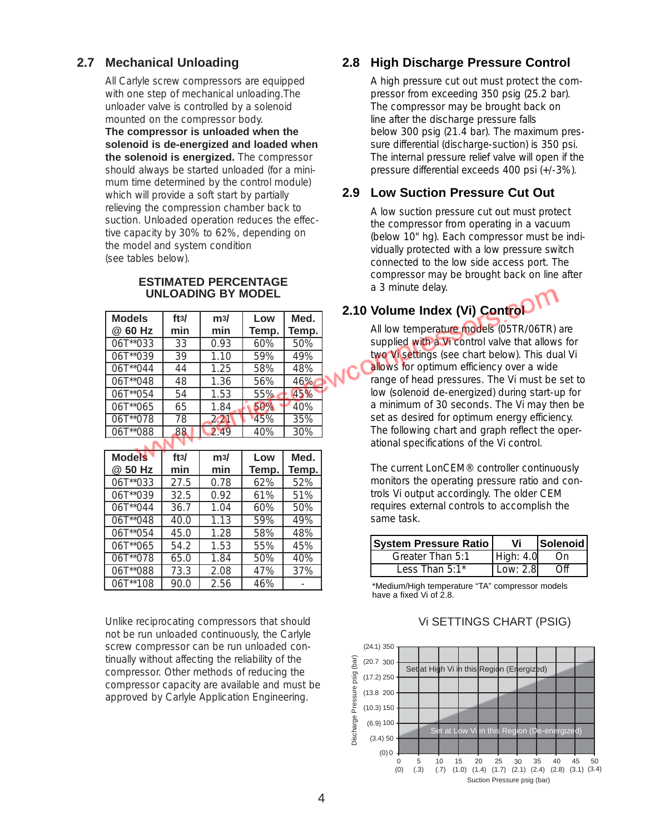# **2.7 Mechanical Unloading**

All Carlyle screw compressors are equipped with one step of mechanical unloading.The unloader valve is controlled by a solenoid mounted on the compressor body.

**The compressor is unloaded when the solenoid is de-energized and loaded when the solenoid is energized.** The compressor should always be started unloaded (for a minimum time determined by the control module) which will provide a soft start by partially relieving the compression chamber back to suction. Unloaded operation reduces the effective capacity by 30% to 62%, depending on the model and system condition (see tables below).

#### **ESTIMATED PERCENTAGE UNLOADING BY MODEL**

| <b>Models</b> | ft3/ | m3/  | Low   | Med.  |
|---------------|------|------|-------|-------|
| @ 60 Hz       | min  | min  | Temp. | Temp. |
| 06T**033      | 33   | 0.93 | 60%   | 50%   |
| 06T**039      | 39   | 1.10 | 59%   | 49%   |
| 06T**044      | 44   | 1.25 | 58%   | 48%   |
| 06T**048      | 48   | 1.36 | 56%   | 46%   |
| 06T**054      | 54   | 1.53 | 55%   | 45%   |
| 06T**065      | 65   | 1.84 | 50%   | 40%   |
| 06T**078      | 78   | 2.21 | 45%   | 35%   |
| $106T^{*}088$ | 88   | 2.49 | 40%   | 30%   |
|               |      |      |       |       |

| <b>Models</b><br>@ 50 Hz | ft3/<br>min | m3/<br>min | Low<br>Temp. | Med.<br>Temp. |
|--------------------------|-------------|------------|--------------|---------------|
| 06T**033                 | 27.5        | 0.78       | 62%          | 52%           |
| 06T**039                 | 32.5        | 0.92       | 61%          | 51%           |
| $06T^{**}044$            | 36.7        | 1.04       | 60%          | 50%           |
| 06T**048                 | 40.0        | 1.13       | 59%          | 49%           |
| 06T**054                 | 45.0        | 1.28       | 58%          | 48%           |
| 06T**065                 | 54.2        | 1.53       | 55%          | 45%           |
| 06T**078                 | 65.0        | 1.84       | 50%          | 40%           |
| 06T**088                 | 73.3        | 2.08       | 47%          | 37%           |
| 06T**108                 | 90.0        | 2.56       | 46%          |               |

Unlike reciprocating compressors that should not be run unloaded continuously, the Carlyle screw compressor can be run unloaded continually without affecting the reliability of the compressor. Other methods of reducing the compressor capacity are available and must be approved by Carlyle Application Engineering.

# **2.8 High Discharge Pressure Control**

A high pressure cut out must protect the compressor from exceeding 350 psig (25.2 bar). The compressor may be brought back on line after the discharge pressure falls below 300 psig (21.4 bar). The maximum pressure differential (discharge-suction) is 350 psi. The internal pressure relief valve will open if the pressure differential exceeds 400 psi (+/-3%).

## **2.9 Low Suction Pressure Cut Out**

A low suction pressure cut out must protect the compressor from operating in a vacuum (below 10" hg). Each compressor must be individually protected with a low pressure switch connected to the low side access port. The compressor may be brought back on line after a 3 minute delay.

# **2.10 Volume Index (Vi) Control**

All low temperature models (05TR/06TR) are supplied with a Vi control valve that allows for two Vi settings (see chart below). This dual Vi allows for optimum efficiency over a wide range of head pressures. The Vi must be set to low (solenoid de-energized) during start-up for a minimum of 30 seconds. The Vi may then be set as desired for optimum energy efficiency. The following chart and graph reflect the operational specifications of the Vi control.

The current LonCEM® controller continuously monitors the operating pressure ratio and controls Vi output accordingly. The older CEM requires external controls to accomplish the same task.

| <b>System Pressure Ratio</b> | Vi          | <b>Solenoid</b> |
|------------------------------|-------------|-----------------|
| Greater Than 5:1             | High: $4.0$ |                 |
| Less Than $5:1^*$            | 10W.28      |                 |

\*Medium/High temperature "TA" compressor models have a fixed Vi of 2.8.

#### Vi SETTINGS CHART (PSIG)

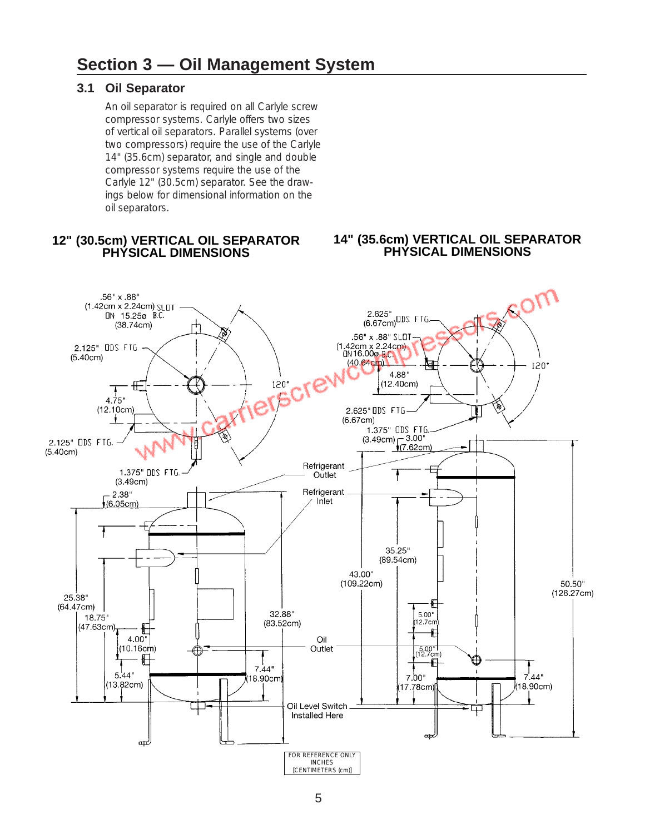## **3.1 Oil Separator**

An oil separator is required on all Carlyle screw compressor systems. Carlyle offers two sizes of vertical oil separators. Parallel systems (over two compressors) require the use of the Carlyle 14" (35.6cm) separator, and single and double compressor systems require the use of the Carlyle 12" (30.5cm) separator. See the drawings below for dimensional information on the oil separators.

#### **12" (30.5cm) VERTICAL OIL SEPARATOR PHYSICAL DIMENSIONS**

#### **14" (35.6cm) VERTICAL OIL SEPARATOR PHYSICAL DIMENSIONS**

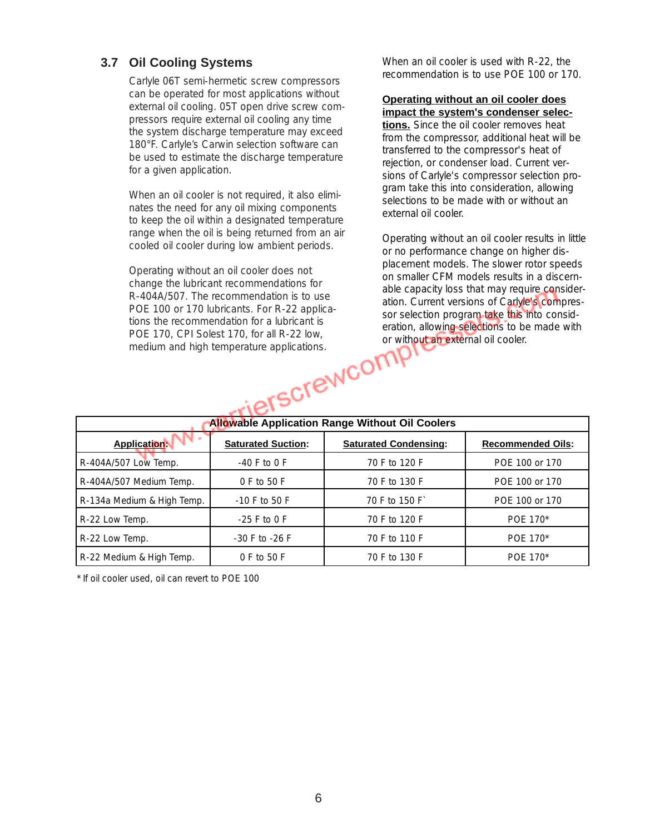# **3.7 Oil Cooling Systems**

Carlyle 06T semi-hermetic screw compressors can be operated for most applications without external oil cooling. 05T open drive screw compressors require external oil cooling any time the system discharge temperature may exceed 180°F. Carlyle's Carwin selection software can be used to estimate the discharge temperature for a given application.

When an oil cooler is not required, it also eliminates the need for any oil mixing components to keep the oil within a designated temperature range when the oil is being returned from an air cooled oil cooler during low ambient periods.

Operating without an oil cooler does not change the lubricant recommendations for R-404A/507. The recommendation is to use POE 100 or 170 lubricants. For R-22 applications the recommendation for a lubricant is POE 170, CPI Solest 170, for all R-22 low, medium and high temperature applications.

When an oil cooler is used with R-22, the recommendation is to use POE 100 or 170.

#### **Operating without an oil cooler does impact the system's condenser selec-**

**tions.** Since the oil cooler removes heat from the compressor, additional heat will be transferred to the compressor's heat of rejection, or condenser load. Current versions of Carlyle's compressor selection program take this into consideration, allowing selections to be made with or without an external oil cooler.

Operating without an oil cooler results in little or no performance change on higher displacement models. The slower rotor speeds on smaller CFM models results in a discernable capacity loss that may require consideration. Current versions of Carlyle's compressor selection program take this into consideration, allowing selections to be made with or without an external oil cooler.

|                                                                                                                                                                        | $1 \cup L$ $1 \cup C$ , $0 \cup 1 \cup C$ $0 \cup C$ , $1 \cup C$ , $1 \cup 1 \cup C$ $1 \cup 1 \cup C$<br>medium and high temperature applications.<br>Terscrewco. | or without an external oil cooler. |                |  |  |  |
|------------------------------------------------------------------------------------------------------------------------------------------------------------------------|---------------------------------------------------------------------------------------------------------------------------------------------------------------------|------------------------------------|----------------|--|--|--|
| <b>Allowable Application Range Without Oil Coolers</b><br><b>Application:</b><br><b>Saturated Suction:</b><br><b>Saturated Condensing:</b><br><b>Recommended Oils:</b> |                                                                                                                                                                     |                                    |                |  |  |  |
| R-404A/507 Low Temp.                                                                                                                                                   | $-40$ F to 0 F                                                                                                                                                      | 70 F to 120 F                      | POE 100 or 170 |  |  |  |
| R-404A/507 Medium Temp.                                                                                                                                                | 0 F to 50 F                                                                                                                                                         | 70 F to 130 F                      | POE 100 or 170 |  |  |  |
| R-134a Medium & High Temp.                                                                                                                                             | $-10$ F to 50 F                                                                                                                                                     | 70 F to 150 F                      | POE 100 or 170 |  |  |  |
| R-22 Low Temp.                                                                                                                                                         | $-25$ F to 0 F                                                                                                                                                      | 70 F to 120 F                      | POE 170*       |  |  |  |
| R-22 Low Temp.                                                                                                                                                         | $-30$ F to $-26$ F                                                                                                                                                  | 70 F to 110 F                      | POE 170*       |  |  |  |
| R-22 Medium & High Temp.                                                                                                                                               | 0 F to 50 F                                                                                                                                                         | 70 F to 130 F                      | POE 170*       |  |  |  |

\* If oil cooler used, oil can revert to POE 100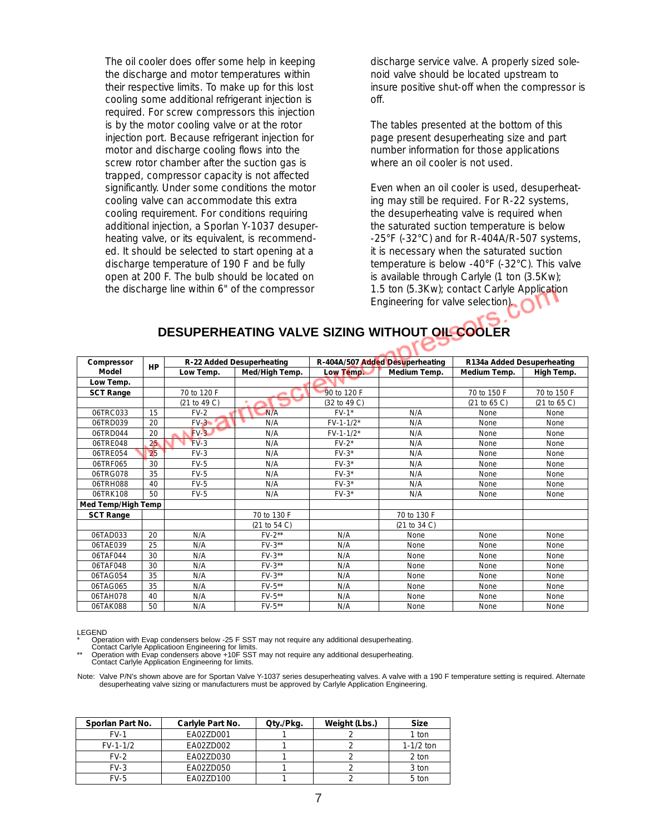The oil cooler does offer some help in keeping the discharge and motor temperatures within their respective limits. To make up for this lost cooling some additional refrigerant injection is required. For screw compressors this injection is by the motor cooling valve or at the rotor injection port. Because refrigerant injection for motor and discharge cooling flows into the screw rotor chamber after the suction gas is trapped, compressor capacity is not affected significantly. Under some conditions the motor cooling valve can accommodate this extra cooling requirement. For conditions requiring additional injection, a Sporlan Y-1037 desuperheating valve, or its equivalent, is recommended. It should be selected to start opening at a discharge temperature of 190 F and be fully open at 200 F. The bulb should be located on the discharge line within 6" of the compressor

discharge service valve. A properly sized solenoid valve should be located upstream to insure positive shut-off when the compressor is off.

The tables presented at the bottom of this page present desuperheating size and part number information for those applications where an oil cooler is not used.

Even when an oil cooler is used, desuperheating may still be required. For R-22 systems, the desuperheating valve is required when the saturated suction temperature is below  $-25^{\circ}$ F ( $-32^{\circ}$ C) and for R $-404A/R$  $-507$  systems, it is necessary when the saturated suction temperature is below -40°F (-32°C). This valve is available through Carlyle (1 ton (3.5Kw); 1.5 ton (5.3Kw); contact Carlyle Application Engineering for valve selection).

## **DESUPERHEATING VALVE SIZING WITHOUT OIL COOLER**

へくと

| Compressor         | HP |              | R-22 Added Desuperheating |              | R-404A/507 Added Desuperheating | R134a Added Desuperheating |              |
|--------------------|----|--------------|---------------------------|--------------|---------------------------------|----------------------------|--------------|
| Model              |    | Low Temp.    | Med/High Temp.            | Low Temp.    | Medium Temp.                    | Medium Temp.               | High Temp.   |
| Low Temp.          |    |              |                           |              |                                 |                            |              |
| <b>SCT Range</b>   |    | 70 to 120 F  |                           | 90 to 120 F  |                                 | 70 to 150 F                | 70 to 150 F  |
|                    |    | (21 to 49 C) |                           | (32 to 49 C) |                                 | (21 to 65 C)               | (21 to 65 C) |
| 06TRC033           | 15 | $FV-2$       | N/A                       | $FV-1*$      | N/A                             | None                       | None         |
| 06TRD039           | 20 | $FV-3$       | N/A                       | $FV-1-1/2*$  | N/A                             | None                       | None         |
| 06TRD044           | 20 | $FV-3$       | N/A                       | $FV-1-1/2*$  | N/A                             | None                       | None         |
| 06TRF048           | 25 | $FV-3$       | N/A                       | $FV-2$ *     | N/A                             | None                       | <b>None</b>  |
| 06TRF054           | 25 | $FV-3$       | N/A                       | $FV-3*$      | N/A                             | None                       | None         |
| 06TRF065           | 30 | $FV-5$       | N/A                       | $FV-3*$      | N/A                             | None                       | None         |
| 06TRG078           | 35 | $FV-5$       | N/A                       | $FV-3*$      | N/A                             | None                       | None         |
| 06TRH088           | 40 | $FV-5$       | N/A                       | $FV-3*$      | N/A                             | None                       | None         |
| 06TRK108           | 50 | $FV-5$       | N/A                       | $FV-3*$      | N/A                             | None                       | None         |
| Med Temp/High Temp |    |              |                           |              |                                 |                            |              |
| <b>SCT Range</b>   |    |              | 70 to 130 F               |              | 70 to 130 F                     |                            |              |
|                    |    |              | (21 to 54 C)              |              | (21 to 34 C)                    |                            |              |
| 06TAD033           | 20 | N/A          | $FV-2**$                  | N/A          | None                            | None                       | None         |
| 06TAE039           | 25 | N/A          | $FV-3**$                  | N/A          | None                            | None                       | None         |
| 06TAF044           | 30 | N/A          | $FV-3**$                  | N/A          | None                            | None                       | None         |
| 06TAF048           | 30 | N/A          | $FV-3**$                  | N/A          | None                            | None                       | None         |
| 06TAG054           | 35 | N/A          | $FV-3**$                  | N/A          | None                            | None                       | None         |
| 06TAG065           | 35 | N/A          | $FV-5**$                  | N/A          | None                            | None                       | None         |
| 06TAH078           | 40 | N/A          | $FV-5**$                  | N/A          | None                            | None                       | None         |
| 06TAK088           | 50 | N/A          | $FV-5**$                  | N/A          | None                            | None                       | None         |

LEGEND

Operation with Evap condensers below -25 F SST may not require any additional desuperheating.

Contact Carlyle Applicatioon Engineering for limits. \*\* Operation with Evap condensers above +10F SST may not require any additional desuperheating. Contact Carlyle Application Engineering for limits.

Note: Valve P/N's shown above are for Sportan Valve Y-1037 series desuperheating valves. A valve with a 190 F temperature setting is required. Alternate<br>desuperheating valve sizing or manufacturers must be approved by Carl

| Sporlan Part No. | Carlyle Part No. | Qty./Pkg. | Weight (Lbs.) | <b>Size</b> |
|------------------|------------------|-----------|---------------|-------------|
| $FV-1$           | FA027D001        |           |               | 1 ton       |
| $FV-1-1/2$       | FA027D002        |           |               | $1-1/2$ ton |
| $FV-2$           | EA02ZD030        |           |               | 2 ton       |
| $FV-3$           | EA02ZD050        |           |               | 3 ton       |
| $FV-5$           | FA027D100        |           |               | 5 ton       |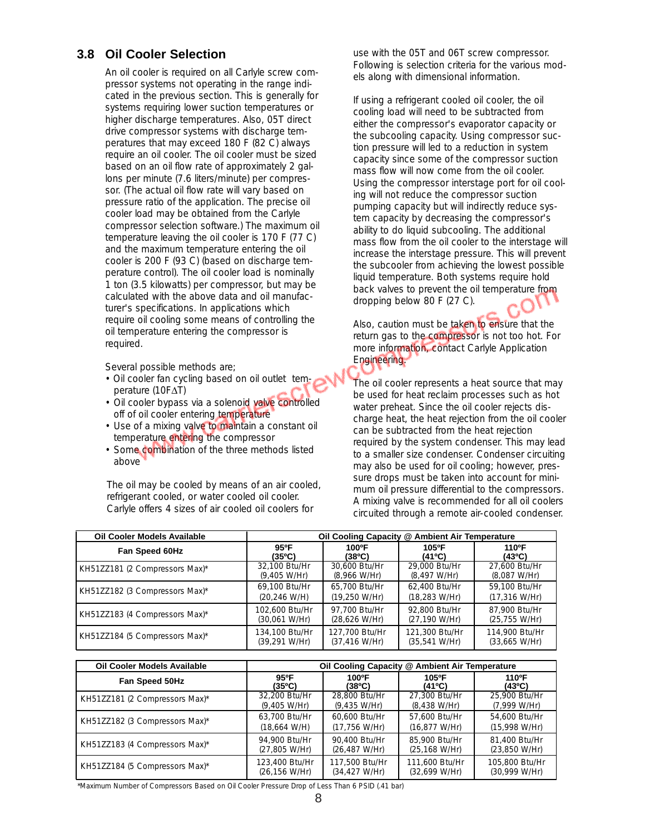#### **3.8 Oil Cooler Selection**

An oil cooler is required on all Carlyle screw compressor systems not operating in the range indicated in the previous section. This is generally for systems requiring lower suction temperatures or higher discharge temperatures. Also, 05T direct drive compressor systems with discharge temperatures that may exceed 180 F (82 C) always require an oil cooler. The oil cooler must be sized based on an oil flow rate of approximately 2 gallons per minute (7.6 liters/minute) per compressor. (The actual oil flow rate will vary based on pressure ratio of the application. The precise oil cooler load may be obtained from the Carlyle compressor selection software.) The maximum oil temperature leaving the oil cooler is 170 F (77 C) and the maximum temperature entering the oil cooler is 200 F (93 C) (based on discharge temperature control). The oil cooler load is nominally 1 ton (3.5 kilowatts) per compressor, but may be calculated with the above data and oil manufacturer's specifications. In applications which require oil cooling some means of controlling the oil temperature entering the compressor is required.

Several possible methods are;

- Oil cooler fan cycling based on oil outlet temperature (10F∆T)
- Oil cooler bypass via a solenoid valve controlled off of oil cooler entering temperature
- Use of a mixing valve to maintain a constant oil temperature entering the compressor
- Some combination of the three methods listed above

The oil may be cooled by means of an air cooled, refrigerant cooled, or water cooled oil cooler. Carlyle offers 4 sizes of air cooled oil coolers for

use with the 05T and 06T screw compressor. Following is selection criteria for the various models along with dimensional information.

If using a refrigerant cooled oil cooler, the oil cooling load will need to be subtracted from either the compressor's evaporator capacity or the subcooling capacity. Using compressor suction pressure will led to a reduction in system capacity since some of the compressor suction mass flow will now come from the oil cooler. Using the compressor interstage port for oil cooling will not reduce the compressor suction pumping capacity but will indirectly reduce system capacity by decreasing the compressor's ability to do liquid subcooling. The additional mass flow from the oil cooler to the interstage will increase the interstage pressure. This will prevent the subcooler from achieving the lowest possible liquid temperature. Both systems require hold back valves to prevent the oil temperature from dropping below 80 F (27 C).

Also, caution must be taken to ensure that the return gas to the compressor is not too hot. For more information, contact Carlyle Application Engineering.

The oil cooler represents a heat source that may be used for heat reclaim processes such as hot water preheat. Since the oil cooler rejects discharge heat, the heat rejection from the oil cooler can be subtracted from the heat rejection required by the system condenser. This may lead to a smaller size condenser. Condenser circuiting may also be used for oil cooling; however, pressure drops must be taken into account for minimum oil pressure differential to the compressors. A mixing valve is recommended for all oil coolers circuited through a remote air-cooled condenser.

| <b>Oil Cooler Models Available</b> |                         | Oil Cooling Capacity @ Ambient Air Temperature |                          |                        |
|------------------------------------|-------------------------|------------------------------------------------|--------------------------|------------------------|
| Fan Speed 60Hz                     | 95°F                    | 100°F                                          | 105°F                    | 110 <sup>o</sup> F     |
|                                    | (35°C)                  | (38ºC)                                         | (41°C)                   | (43°C)                 |
| KH51ZZ181 (2 Compressors Max)*     | 32.100 Btu/Hr           | 30.600 Btu/Hr                                  | 29,000 Btu/Hr            | 27.600 Btu/Hr          |
|                                    | (9,405 W/Hr)            | $(8,966 \text{ W/Hr})$                         | (8,497 W/Hr)             | $(8,087 \text{ W/Hr})$ |
| KH51ZZ182 (3 Compressors Max)*     | 69.100 Btu/Hr           | 65.700 Btu/Hr                                  | 62.400 Btu/Hr            | 59.100 Btu/Hr          |
|                                    | $(20, 246 \text{ W/H})$ | (19,250 W/Hr)                                  | $(18, 283 \text{ W/Hr})$ | $(17, 316$ W/Hr)       |
| KH51ZZ183 (4 Compressors Max)*     | 102.600 Btu/Hr          | 97.700 Btu/Hr                                  | 92.800 Btu/Hr            | 87.900 Btu/Hr          |
|                                    | (30,061 W/Hr)           | $(28,626 \text{ W/Hr})$                        | (27,190 W/Hr)            | (25, 755 W/Hr)         |
| KH51ZZ184 (5 Compressors Max)*     | 134.100 Btu/Hr          | 127.700 Btu/Hr                                 | 121,300 Btu/Hr           | 114.900 Btu/Hr         |
|                                    | (39,291 W/Hr)           | $(37, 416 \text{ W/Hr})$                       | (35,541 W/Hr)            | (33,665 W/Hr)          |

| <b>Oil Cooler Models Available</b> |                        | Oil Cooling Capacity @ Ambient Air Temperature |                          |                              |
|------------------------------------|------------------------|------------------------------------------------|--------------------------|------------------------------|
| Fan Speed 50Hz                     | 95°F                   | 100°F                                          | 105°F                    | 110 <sup>o</sup> F           |
|                                    | (35ºC)                 | (38ºC)                                         | $(41^{\circ}C)$          | (43°C)                       |
| KH51ZZ181 (2 Compressors Max)*     | 32.200 Btu/Hr          | 28.800 Btu/Hr                                  | 27.300 Btu/Hr            | 25.900 Btu/Hr                |
|                                    | (9,405 W/Hr)           | $(9,435$ W/Hr)                                 | $(8,438$ W/Hr)           | $(7,999 \text{ W}/\text{H})$ |
| KH51ZZ182 (3 Compressors Max)*     | 63.700 Btu/Hr          | 60.600 Btu/Hr                                  | 57.600 Btu/Hr            | 54.600 Btu/Hr                |
|                                    | $(18,664 \text{ W/H})$ | $(17, 756 \text{ W/Hr})$                       | $(16, 877 \text{ W/Hr})$ | (15,998 W/Hr)                |
| KH51ZZ183 (4 Compressors Max)*     | 94.900 Btu/Hr          | 90.400 Btu/Hr                                  | 85.900 Btu/Hr            | 81.400 Btu/Hr                |
|                                    | (27,805 W/Hr)          | (26, 487 W/Hr)                                 | (25, 168 W/Hr)           | (23,850 W/Hr)                |
| KH51ZZ184 (5 Compressors Max)*     | 123,400 Btu/Hr         | 117,500 Btu/Hr                                 | 111.600 Btu/Hr           | 105,800 Btu/Hr               |
|                                    | (26,156 W/Hr)          | (34, 427 W/Hr)                                 | $(32,699 \text{ W/Hr})$  | (30,999 W/Hr)                |

\*Maximum Number of Compressors Based on Oil Cooler Pressure Drop of Less Than 6 PSID (.41 bar)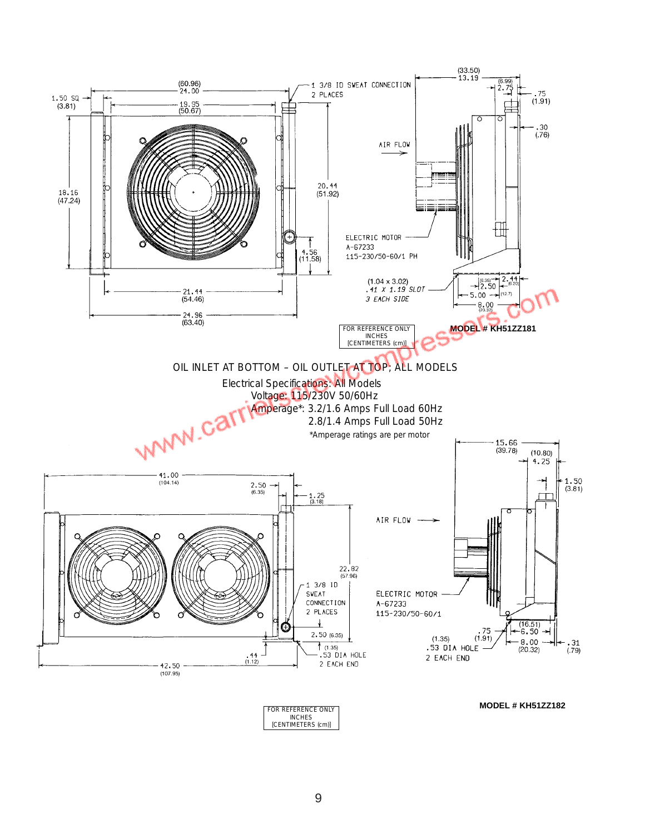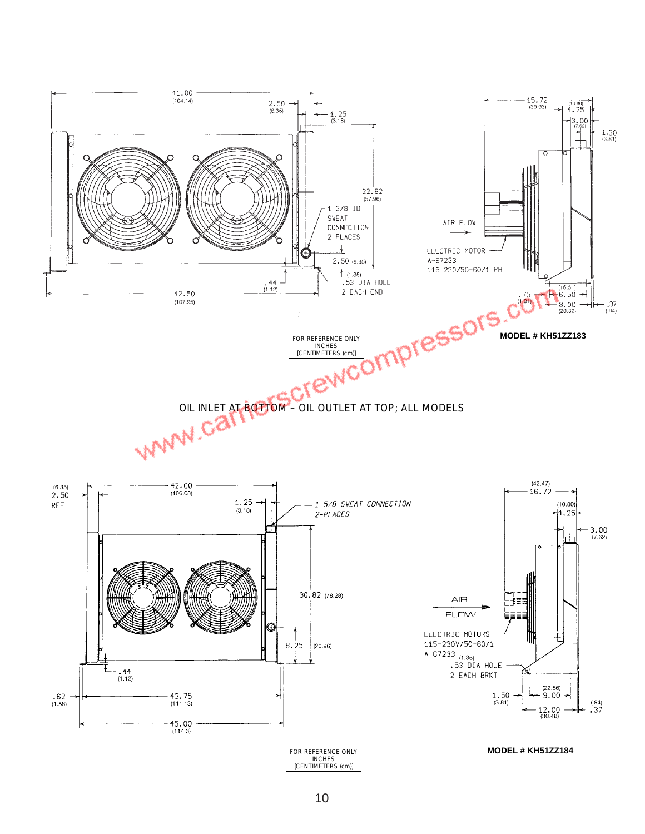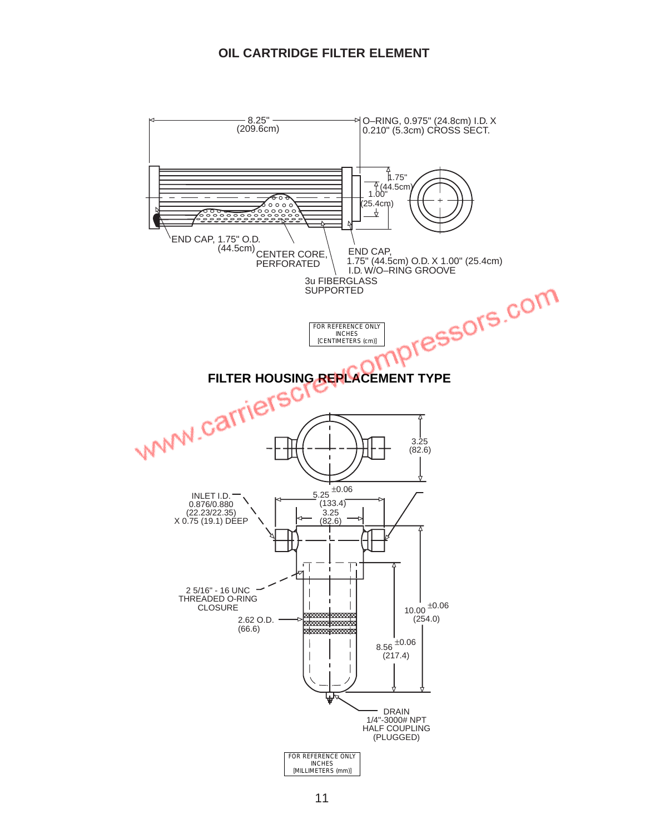## **OIL CARTRIDGE FILTER ELEMENT**

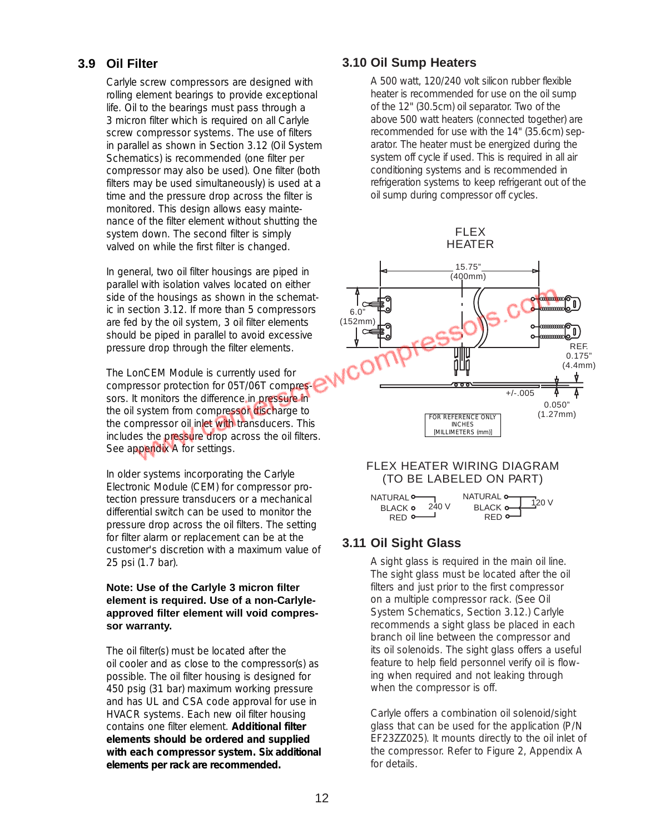## **3.9 Oil Filter**

Carlyle screw compressors are designed with rolling element bearings to provide exceptional life. Oil to the bearings must pass through a 3 micron filter which is required on all Carlyle screw compressor systems. The use of filters in parallel as shown in Section 3.12 (Oil System Schematics) is recommended (one filter per compressor may also be used). One filter (both filters may be used simultaneously) is used at a time and the pressure drop across the filter is monitored. This design allows easy maintenance of the filter element without shutting the system down. The second filter is simply valved on while the first filter is changed.

In general, two oil filter housings are piped in parallel with isolation valves located on either side of the housings as shown in the schematic in section 3.12. If more than 5 compressors are fed by the oil system, 3 oil filter elements should be piped in parallel to avoid excessive pressure drop through the filter elements.

The LonCEM Module is currently used for compressor protection for 05T/06T compressors. It monitors the difference in pressure in the oil system from compressor discharge to the compressor oil inlet with transducers. This includes the pressure drop across the oil filters. See appendix A for settings.

In older systems incorporating the Carlyle Electronic Module (CEM) for compressor protection pressure transducers or a mechanical differential switch can be used to monitor the pressure drop across the oil filters. The setting for filter alarm or replacement can be at the customer's discretion with a maximum value of 25 psi (1.7 bar).

#### **Note: Use of the Carlyle 3 micron filter element is required. Use of a non-Carlyleapproved filter element will void compressor warranty.**

The oil filter(s) must be located after the oil cooler and as close to the compressor(s) as possible. The oil filter housing is designed for 450 psig (31 bar) maximum working pressure and has UL and CSA code approval for use in HVACR systems. Each new oil filter housing contains one filter element. *Additional filter elements should be ordered and supplied with each compressor system. Six additional elements per rack are recommended.*

# **3.10 Oil Sump Heaters**

A 500 watt, 120/240 volt silicon rubber flexible heater is recommended for use on the oil sump of the 12" (30.5cm) oil separator. Two of the above 500 watt heaters (connected together) are recommended for use with the 14" (35.6cm) separator. The heater must be energized during the system off cycle if used. This is required in all air conditioning systems and is recommended in refrigeration systems to keep refrigerant out of the oil sump during compressor off cycles.

> FLEX HEATER



#### FLEX HEATER WIRING DIAGRAM (TO BE LABELED ON PART)



# **3.11 Oil Sight Glass**

A sight glass is required in the main oil line. The sight glass must be located after the oil filters and just prior to the first compressor on a multiple compressor rack. (See Oil System Schematics, Section 3.12.) Carlyle recommends a sight glass be placed in each branch oil line between the compressor and its oil solenoids. The sight glass offers a useful feature to help field personnel verify oil is flowing when required and not leaking through when the compressor is off.

Carlyle offers a combination oil solenoid/sight glass that can be used for the application (P/N EF23ZZ025). It mounts directly to the oil inlet of the compressor. Refer to Figure 2, Appendix A for details.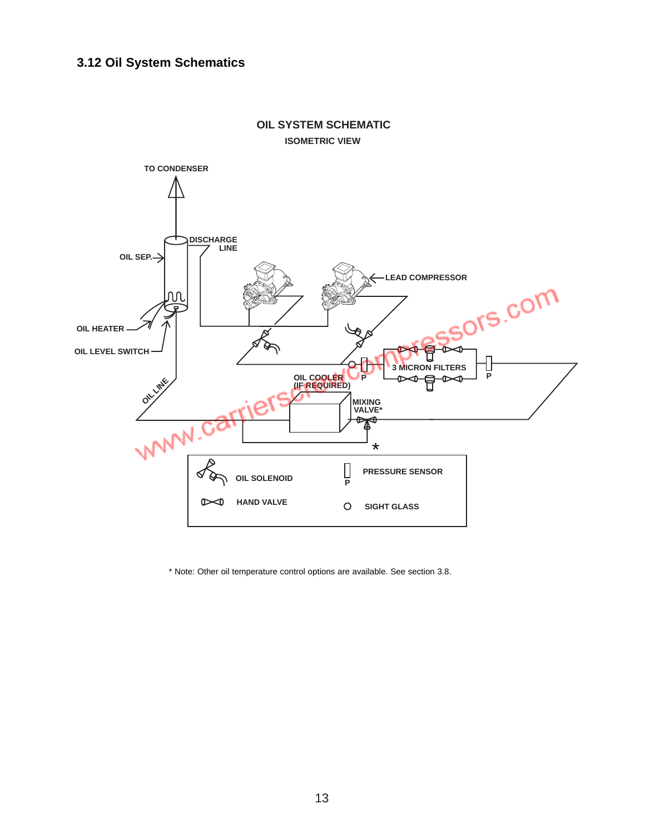# **3.12 Oil System Schematics**



#### **OIL SYSTEM SCHEMATIC ISOMETRIC VIEW**

\* Note: Other oil temperature control options are available. See section 3.8.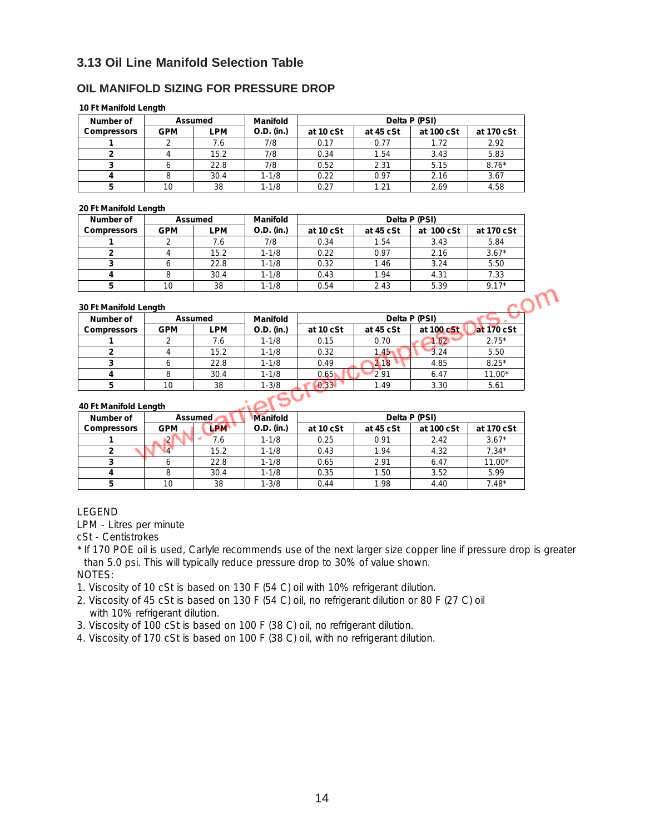## **3.13 Oil Line Manifold Selection Table**

#### **OIL MANIFOLD SIZING FOR PRESSURE DROP**

#### **10 Ft Manifold Length**

| Number of          |            | Assumed | Manifold   |           |           | Delta P (PSI) |            |
|--------------------|------------|---------|------------|-----------|-----------|---------------|------------|
| <b>Compressors</b> | <b>GPM</b> | LPM     | O.D. (in.) | at 10 cSt | at 45 cSt | at 100 cSt    | at 170 cSt |
|                    |            | 7.6     | 7/8        | 0.17      | 0.77      | 1.72          | 2.92       |
|                    |            | 15.2    | 7/8        | 0.34      | 1.54      | 3.43          | 5.83       |
|                    |            | 22.8    | 7/8        | 0.52      | 2.31      | 5.15          | $8.76*$    |
|                    |            | 30.4    | $1 - 1/8$  | 0.22      | 0.97      | 2.16          | 3.67       |
|                    | 10         | 38      | $1 - 1/8$  | 0.27      | 1.21      | 2.69          | 4.58       |

#### **20 Ft Manifold Length**

| Number of          |            | Assumed | Manifold   |           |           | Delta P (PSI) |            |
|--------------------|------------|---------|------------|-----------|-----------|---------------|------------|
| <b>Compressors</b> | <b>GPM</b> | ∟PM     | O.D. (in.) | at 10 cSt | at 45 cSt | at 100 cSt    | at 170 cSt |
|                    |            | 7.6     | 7/8        | 0.34      | 1.54      | 3.43          | 5.84       |
|                    |            | 15.2    | $1 - 1/8$  | 0.22      | 0.97      | 2.16          | $3.67*$    |
|                    |            | 22.8    | $1 - 1/8$  | 0.32      | 1.46      | 3.24          | 5.50       |
|                    |            | 30.4    | $1 - 1/8$  | 0.43      | 1.94      | 4.31          | 7.33       |
|                    | 10         | 38      | $1 - 1/8$  | 0.54      | 2.43      | 5.39          | $9.17*$    |

#### **30 Ft Manifold Length**

| Number of          |            | Assumed | Manifold   |           |           | Delta P (PSI) |            |
|--------------------|------------|---------|------------|-----------|-----------|---------------|------------|
| <b>Compressors</b> | <b>GPM</b> | LPM     | O.D. (in.) | at 10 cSt | at 45 cSt | at 100 cSt    | at 170 cSt |
|                    |            | 7.6     | $1 - 1/8$  | 0.15      | 0.70      | 1.62          | $2.75*$    |
|                    |            | 15.2    | $1 - 1/8$  | 0.32      | 1.45      | 3.24          | 5.50       |
|                    |            | 22.8    | $1 - 1/8$  | 0.49      | 2.18      | 4.85          | $8.25*$    |
|                    |            | 30.4    | $1 - 1/8$  | 0.65      | 2.91      | 6.47          | $11.00*$   |
|                    |            | 38      | $1 - 3/8$  | 0.33      | 1.49      | 3.30          | 5.61       |

#### **40 Ft Manifold Length**

| Number of          | $\cdot$    | <b>Assumed</b> | <b>Manifold</b> |           |           | Delta P (PSI) |            |
|--------------------|------------|----------------|-----------------|-----------|-----------|---------------|------------|
| <b>Compressors</b> | <b>GPM</b> | LPM            | O.D. (in.)      | at 10 cSt | at 45 cSt | at 100 cSt    | at 170 cSt |
|                    |            | 7.6            | $1 - 1/8$       | 0.25      | 0.91      | 2.42          | $3.67*$    |
|                    |            | 15.2           | $1 - 1/8$       | 0.43      | 1.94      | 4.32          | $7.34*$    |
|                    |            | 22.8           | $1 - 1/8$       | 0.65      | 2.91      | 6.47          | $11.00*$   |
|                    |            | 30.4           | $1 - 1/8$       | 0.35      | 1.50      | 3.52          | 5.99       |
|                    |            | 38             | $1 - 3/8$       | 0.44      | 1.98      | 4.40          | $7.48*$    |

#### LEGEND

LPM - Litres per minute

cSt - Centistrokes

\* If 170 POE oil is used, Carlyle recommends use of the next larger size copper line if pressure drop is greater than 5.0 psi. This will typically reduce pressure drop to 30% of value shown. NOTES:

1. Viscosity of 10 cSt is based on 130 F (54 C) oil with 10% refrigerant dilution.

- 2. Viscosity of 45 cSt is based on 130 F (54 C) oil, no refrigerant dilution or 80 F (27 C) oil with 10% refrigerant dilution.
- 3. Viscosity of 100 cSt is based on 100 F (38 C) oil, no refrigerant dilution.
- 4. Viscosity of 170 cSt is based on 100 F (38 C) oil, with no refrigerant dilution.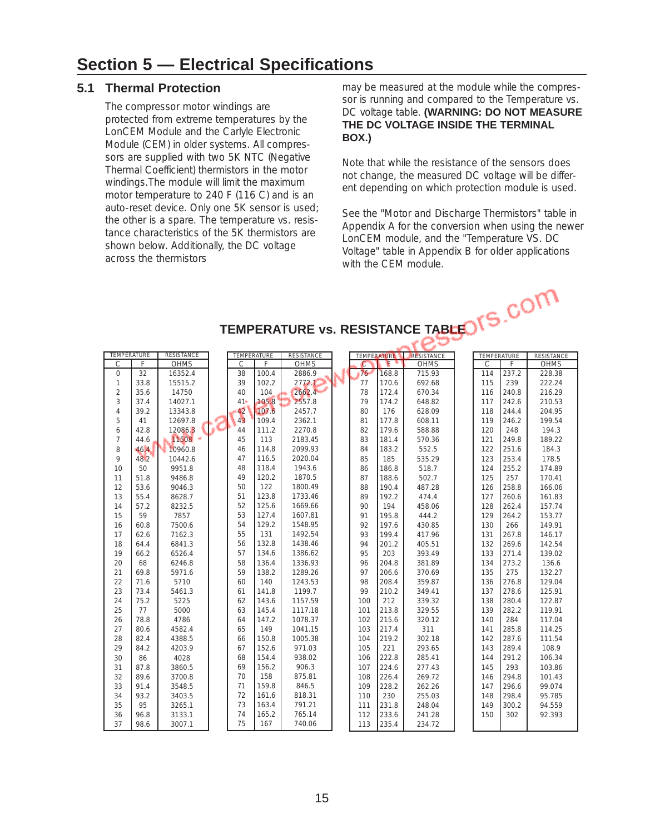## **5.1 Thermal Protection**

The compressor motor windings are protected from extreme temperatures by the LonCEM Module and the Carlyle Electronic Module (CEM) in older systems. All compressors are supplied with two 5K NTC (Negative Thermal Coefficient) thermistors in the motor windings.The module will limit the maximum motor temperature to 240 F (116 C) and is an auto-reset device. Only one 5K sensor is used; the other is a spare. The temperature vs. resistance characteristics of the 5K thermistors are shown below. Additionally, the DC voltage across the thermistors

may be measured at the module while the compressor is running and compared to the Temperature vs. DC voltage table. **(WARNING: DO NOT MEASURE THE DC VOLTAGE INSIDE THE TERMINAL BOX.)** 

Note that while the resistance of the sensors does not change, the measured DC voltage will be different depending on which protection module is used.

See the "Motor and Discharge Thermistors" table in Appendix A for the conversion when using the newer LonCEM module, and the "Temperature VS. DC Voltage" table in Appendix B for older applications with the CEM module.

| <b>TEMPERATURE</b> |      | <b>RESISTANCE</b> | <b>TEMPERATURE</b> |       | <b>RESISTANCE</b> |               | <b>TEMPERATURE</b> | RESISTANCE  | TEMPERATURE |       | <b>RESISTANCE</b> |
|--------------------|------|-------------------|--------------------|-------|-------------------|---------------|--------------------|-------------|-------------|-------|-------------------|
| $\mathcal{C}$      | F    | <b>OHMS</b>       | $\mathcal{C}$      | F     | <b>OHMS</b>       | $\mathcal{C}$ | F                  | <b>OHMS</b> | C           | F     | <b>OHMS</b>       |
| $\mathbf{0}$       | 32   | 16352.4           | 38                 | 100.4 | 2886.9            | 76            | 168.8              | 715.93      | 114         | 237.2 | 228.38            |
| 1                  | 33.8 | 15515.2           | 39                 | 102.2 | 2772.1            | 77            | 170.6              | 692.68      | 115         | 239   | 222.24            |
| $\overline{2}$     | 35.6 | 14750             | 40                 | 104   | 2662.4            | 78            | 172.4              | 670.34      | 116         | 240.8 | 216.29            |
| 3                  | 37.4 | 14027.1           | $41 -$             | 105.8 | 2557.8            | 79            | 174.2              | 648.82      | 117         | 242.6 | 210.53            |
| 4                  | 39.2 | 13343.8           | 42                 | 107.6 | 2457.7            | 80            | 176                | 628.09      | 118         | 244.4 | 204.95            |
| 5                  | 41   | 12697.8           | 4 <sub>3</sub>     | 109.4 | 2362.1            | 81            | 177.8              | 608.11      | 119         | 246.2 | 199.54            |
| 6                  | 42.8 | 12086.3           | 44                 | 111.2 | 2270.8            | 82            | 179.6              | 588.88      | 120         | 248   | 194.3             |
| $\overline{7}$     | 44.6 | 11508             | 45                 | 113   | 2183.45           | 83            | 181.4              | 570.36      | 121         | 249.8 | 189.22            |
| 8                  | 46.4 | 10960.8           | 46                 | 114.8 | 2099.93           | 84            | 183.2              | 552.5       | 122         | 251.6 | 184.3             |
| 9                  | 48.2 | 10442.6           | 47                 | 116.5 | 2020.04           | 85            | 185                | 535.29      | 123         | 253.4 | 178.5             |
| 10                 | 50   | 9951.8            | 48                 | 118.4 | 1943.6            | 86            | 186.8              | 518.7       | 124         | 255.2 | 174.89            |
| 11                 | 51.8 | 9486.8            | 49                 | 120.2 | 1870.5            | 87            | 188.6              | 502.7       | 125         | 257   | 170.41            |
| 12                 | 53.6 | 9046.3            | 50                 | 122   | 1800.49           | 88            | 190.4              | 487.28      | 126         | 258.8 | 166.06            |
| 13                 | 55.4 | 8628.7            | 51                 | 123.8 | 1733.46           | 89            | 192.2              | 474.4       | 127         | 260.6 | 161.83            |
| 14                 | 57.2 | 8232.5            | 52                 | 125.6 | 1669.66           | 90            | 194                | 458.06      | 128         | 262.4 | 157.74            |
| 15                 | 59   | 7857              | 53                 | 127.4 | 1607.81           | 91            | 195.8              | 444.2       | 129         | 264.2 | 153.77            |
| 16                 | 60.8 | 7500.6            | 54                 | 129.2 | 1548.95           | 92            | 197.6              | 430.85      | 130         | 266   | 149.91            |
| 17                 | 62.6 | 7162.3            | 55                 | 131   | 1492.54           | 93            | 199.4              | 417.96      | 131         | 267.8 | 146.17            |
| 18                 | 64.4 | 6841.3            | 56                 | 132.8 | 1438.46           | 94            | 201.2              | 405.51      | 132         | 269.6 | 142.54            |
| 19                 | 66.2 | 6526.4            | 57                 | 134.6 | 1386.62           | 95            | 203                | 393.49      | 133         | 271.4 | 139.02            |
| 20                 | 68   | 6246.8            | 58                 | 136.4 | 1336.93           | 96            | 204.8              | 381.89      | 134         | 273.2 | 136.6             |
| 21                 | 69.8 | 5971.6            | 59                 | 138.2 | 1289.26           | 97            | 206.6              | 370.69      | 135         | 275   | 132.27            |
| 22                 | 71.6 | 5710              | 60                 | 140   | 1243.53           | 98            | 208.4              | 359.87      | 136         | 276.8 | 129.04            |
| 23                 | 73.4 | 5461.3            | 61                 | 141.8 | 1199.7            | 99            | 210.2              | 349.41      | 137         | 278.6 | 125.91            |
| 24                 | 75.2 | 5225              | 62                 | 143.6 | 1157.59           | 100           | 212                | 339.32      | 138         | 280.4 | 122.87            |
| 25                 | 77   | 5000              | 63                 | 145.4 | 1117.18           | 101           | 213.8              | 329.55      | 139         | 282.2 | 119.91            |
| 26                 | 78.8 | 4786              | 64                 | 147.2 | 1078.37           | 102           | 215.6              | 320.12      | 140         | 284   | 117.04            |
| 27                 | 80.6 | 4582.4            | 65                 | 149   | 1041.15           | 103           | 217.4              | 311         | 141         | 285.8 | 114.25            |
| 28                 | 82.4 | 4388.5            | 66                 | 150.8 | 1005.38           | 104           | 219.2              | 302.18      | 142         | 287.6 | 111.54            |
| 29                 | 84.2 | 4203.9            | 67                 | 152.6 | 971.03            | 105           | 221                | 293.65      | 143         | 289.4 | 108.9             |
| 30                 | 86   | 4028              | 68                 | 154.4 | 938.02            | 106           | 222.8              | 285.41      | 144         | 291.2 | 106.34            |
| 31                 | 87.8 | 3860.5            | 69                 | 156.2 | 906.3             | 107           | 224.6              | 277.43      | 145         | 293   | 103.86            |
| 32                 | 89.6 | 3700.8            | 70                 | 158   | 875.81            | 108           | 226.4              | 269.72      | 146         | 294.8 | 101.43            |
| 33                 | 91.4 | 3548.5            | 71                 | 159.8 | 846.5             | 109           | 228.2              | 262.26      | 147         | 296.6 | 99.074            |
| 34                 | 93.2 | 3403.5            | 72                 | 161.6 | 818.31            | 110           | 230                | 255.03      | 148         | 298.4 | 95.785            |
| 35                 | 95   | 3265.1            | 73                 | 163.4 | 791.21            | 111           | 231.8              | 248.04      | 149         | 300.2 | 94.559            |
| 36                 | 96.8 | 3133.1            | 74                 | 165.2 | 765.14            | 112           | 233.6              | 241.28      | 150         | 302   | 92.393            |
| 37                 | 98.6 | 3007.1            | 75                 | 167   | 740.06            | 113           | 235.4              | 234.72      |             |       |                   |

**TEMPERATURE vs. RESISTANCE TABLE**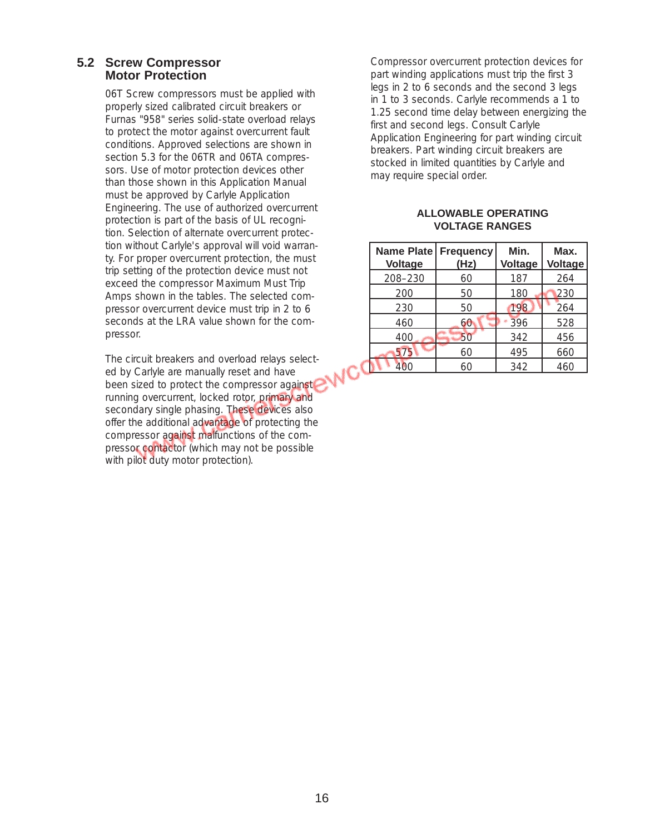#### **5.2 Screw Compressor Motor Protection**

06T Screw compressors must be applied with properly sized calibrated circuit breakers or Furnas "958" series solid-state overload relays to protect the motor against overcurrent fault conditions. Approved selections are shown in section 5.3 for the 06TR and 06TA compressors. Use of motor protection devices other than those shown in this Application Manual must be approved by Carlyle Application Engineering. The use of authorized overcurrent protection is part of the basis of UL recognition. Selection of alternate overcurrent protection without Carlyle's approval will void warranty. For proper overcurrent protection, the must trip setting of the protection device must not exceed the compressor Maximum Must Trip Amps shown in the tables. The selected compressor overcurrent device must trip in 2 to 6 seconds at the LRA value shown for the compressor.

The circuit breakers and overload relays selected by Carlyle are manually reset and have been sized to protect the compressor against running overcurrent, locked rotor, primary and secondary single phasing. These devices also offer the additional advantage of protecting the compressor against malfunctions of the compressor contactor (which may not be possible with pilot duty motor protection).

Compressor overcurrent protection devices for part winding applications must trip the first 3 legs in 2 to 6 seconds and the second 3 legs in 1 to 3 seconds. Carlyle recommends a 1 to 1.25 second time delay between energizing the first and second legs. Consult Carlyle Application Engineering for part winding circuit breakers. Part winding circuit breakers are stocked in limited quantities by Carlyle and may require special order.

#### **ALLOWABLE OPERATING VOLTAGE RANGES**

| Name Plate Frequency<br><b>Voltage</b> | (Hz) | Min.<br>Voltage | Max.<br>Voltage |
|----------------------------------------|------|-----------------|-----------------|
| 208-230                                | 60   | 187             | 264             |
| 200                                    | 50   | 180             | 230             |
| 230                                    | 50   | 198             | 264             |
| 460                                    | 60   | 396             | 528             |
| 400                                    | 50   | 342             | 456             |
| 575                                    | 60   | 495             | 660             |
|                                        | 60   | 342             | 460             |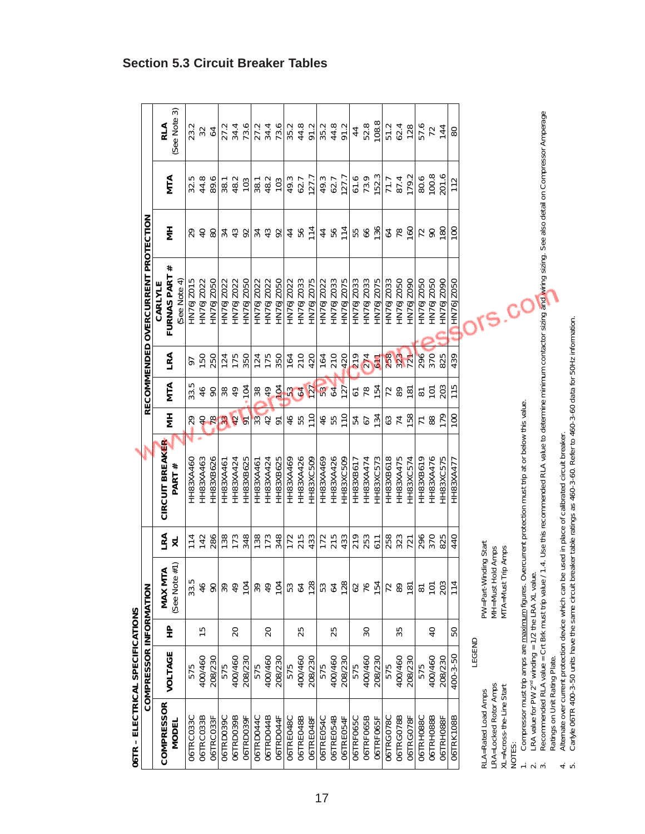| 06TR - ELECTRICAL SPECIFICATIONS                               |                                                                |                |                                  |                                |                                                                                                                                      |                     |                                 |            |                                           |                   |                |                             |
|----------------------------------------------------------------|----------------------------------------------------------------|----------------|----------------------------------|--------------------------------|--------------------------------------------------------------------------------------------------------------------------------------|---------------------|---------------------------------|------------|-------------------------------------------|-------------------|----------------|-----------------------------|
|                                                                | COMPRESSOR INFORMATION                                         |                |                                  |                                |                                                                                                                                      |                     |                                 |            | RECOMMENDED OVERCURRENT PROTECTION        |                   |                |                             |
| <b>COMPRESSOR</b><br>MODEL                                     | VOLTAGE                                                        | 운              | See Note #1)<br>MAX MTA          | LRA<br>$\overline{\mathsf{x}}$ | CIRCUIT BREAKER<br><b>PART#</b>                                                                                                      | Ξ                   | MTA                             | LRA        | #<br>FURNAS PART<br>See Note 4<br>CARLYLE | Ξ                 | <b>MTA</b>     | 3<br>See Note<br><b>AIR</b> |
| 06TRC033C                                                      | 575                                                            |                | 33.5                             | 114                            | ч<br>HH83XA460                                                                                                                       | 29                  | 33.5                            | 97         | <b>SLOZC9ZNH</b>                          | 29                |                | 23.2                        |
| 06TRC033B                                                      | 400/460                                                        | S              | 46                               | 142                            | HH83XA463                                                                                                                            | $\overline{4}$      | 46                              | 150        | HN76JZ022                                 | $\overline{Q}$    | $32.5$<br>44.8 | 32                          |
| 06TRC033F                                                      | 208/230                                                        |                | 90                               | 286                            | HH83XB626                                                                                                                            | <b>7833</b>         | 90                              | 250        | HN76JZ050                                 | 80                | 89.6           | $64$                        |
| 06TRD039C                                                      | 575                                                            |                | 99                               | 138                            | HH83XA461                                                                                                                            |                     | 88                              |            | HN76JZ022                                 | 34.3              | 38.1           | 27.2                        |
| 06TRD039B                                                      | 400/460                                                        | $\Omega$       | 49                               | 173                            | HH83XA424                                                                                                                            |                     |                                 | 124<br>175 | HN76JZ022                                 |                   | 48.2           |                             |
| O6TRD039F                                                      | 208/230                                                        |                | 104                              | 348                            | HH83XB625                                                                                                                            | $\overline{\sigma}$ | 104                             | 350        | HN76JZ050                                 | 92                | 103            | 34.4<br>73.6                |
| 06TRD044C                                                      | 575                                                            |                | 39                               | 138                            | HH83XA461                                                                                                                            | $\frac{1}{33}$      | 389                             | 124        | HN76JZ022                                 | $34 \overline{3}$ | 38.1           |                             |
| 06TRD044B                                                      | 400/460                                                        | 20             | 49                               | 173                            | HH83XA424                                                                                                                            |                     |                                 | 175        | HN76JZ022                                 |                   | 48.2           |                             |
| 06TRD044F                                                      | 208/230                                                        |                | 104                              | 348                            | HH83XB625                                                                                                                            | $\sqrt{2}$          |                                 | 350        | HN76JZ050                                 | $\mathcal{S}^2$   | 103            |                             |
| O6TRE048C                                                      | 575                                                            |                | 53                               | 172                            | HH83XA469                                                                                                                            | $46$<br>55          | $\frac{1}{2}$ $\frac{2}{3}$     | 164        | HN76JZ022                                 | 44<br>56          | 49.3           | 2146<br>24562<br>24562      |
| 06TRE048B                                                      | 400/460                                                        | 25             | 64                               | 215                            | HH83XA426                                                                                                                            |                     |                                 | 210        | HN76JZ033                                 |                   | 62.7           |                             |
| 06TRE048F                                                      | 208/230                                                        |                | 128                              | 433                            | <b>HH83XC509</b>                                                                                                                     | $\frac{1}{10}$      | 127                             | 420        | HN76JZ075                                 | 114               | 127.7          |                             |
| <b>06TRE054C</b>                                               | 575                                                            |                | 53                               |                                | HH83XA469                                                                                                                            |                     | 53                              | 164        | HN76JZ022                                 | 44                |                | $35.2$<br>$44.3$<br>$91.2$  |
| 06TRE054B                                                      | 400/460                                                        | 25             | 64                               | $172$<br>$215$                 | HH83XA426                                                                                                                            | $46$<br>55          |                                 | 210        | HN76JZ033                                 |                   | 49.3<br>62.7   |                             |
| 06TRE054F                                                      | 208/230                                                        |                | 128                              | 433                            | HH83XC509                                                                                                                            | $\frac{1}{1}$       | 127                             | 420        | HN76JZ075                                 | 37158             | 127.7          |                             |
| O6TRF065C                                                      | 575                                                            |                | 62                               | 219                            | HH83XB617                                                                                                                            | 54<br>67            | $\overline{6}$                  | 219        | HN76JZ033                                 |                   | 61.6           | $\overline{4}$              |
| 06TRF065B                                                      | 400/460                                                        | $30\,$         | 76                               | 253                            | HH83XA474                                                                                                                            |                     |                                 | 274        | HN76JZ033                                 |                   | 73.9           | 52.8                        |
| 06TRF065F                                                      | 208/230                                                        |                | 154                              | 611                            | HH83XC573                                                                                                                            | 134                 |                                 | 611        | HN76JZ075                                 | 136               |                | 108.8                       |
| 06TRG078C                                                      | 575                                                            |                | 72                               | 258<br>323                     | HH83XB618                                                                                                                            | 63<br>74            | $\frac{18}{15}$ $\frac{12}{25}$ | 258        | HN76JZ033                                 | 64                | 71.7           | 51.2                        |
| 06TRG078B                                                      | 400/460                                                        | 35             | 89                               |                                | HH83XA475                                                                                                                            |                     |                                 | 323        | HN76JZ050                                 | $78$              | 87.4           | 62.4                        |
| 06TRG078F                                                      | 208/230                                                        |                | 181                              | 721                            | HH83XC574                                                                                                                            | 158                 | $\frac{5}{2}$                   | 721        | HN76JZ090                                 | 160               | 179.2          | 128                         |
| 06TRH088C                                                      | 575                                                            |                | 87                               | 296                            | HH83XB619                                                                                                                            | 71                  | $\overline{\circ}$              | 296        | HN76JZ050                                 | 72                | 80.6           | 57.6                        |
| 06TRH088B                                                      | 400/460                                                        | $\overline{Q}$ | 101                              | 370                            | HH83XA476                                                                                                                            | 88                  | $\overline{5}$                  | 370        | HN76JZ050                                 | $\infty$          | 100.8          | $72$                        |
| 06TRH088F                                                      | 208/230                                                        |                | 203                              | 825                            | <b>HH83XC575</b>                                                                                                                     |                     | 203                             | 825        | HN76JZ090                                 | 180               | 201.6          | 144                         |
| 06TRK108B                                                      | 400-3-50                                                       | SO             | 114                              | 440                            | HH83XA47                                                                                                                             | $\overline{100}$    | 115                             | 439        | HN76JZ050                                 | 100               | 112            | 80                          |
|                                                                | LEGEND                                                         |                |                                  |                                |                                                                                                                                      |                     |                                 |            |                                           |                   |                |                             |
| RLA=Rated Load Amps                                            |                                                                |                | PW=Part-Winding Start            |                                |                                                                                                                                      |                     |                                 |            |                                           |                   |                |                             |
| LRA=Locked Rotor Amps                                          |                                                                |                | MH=Must Hold Amps                |                                |                                                                                                                                      |                     |                                 |            |                                           |                   |                |                             |
| XL=Across-the-Line Start<br>NOTES:                             |                                                                |                | Trip Amps<br>$\sqrt{11}A = Must$ |                                |                                                                                                                                      |                     |                                 |            | $\mathbf{C}$                              |                   |                |                             |
|                                                                |                                                                |                |                                  |                                | Compressor must trip amps are maximum figures. Overcurrent protection must trip at or below this value.                              |                     |                                 |            |                                           |                   |                |                             |
| $\stackrel{-}{\sim}$ $\stackrel{-}{\sim}$ $\stackrel{-}{\sim}$ | LRA value for PW 2 <sup>nd</sup> winding = 1/2 the LRA XL valu |                | $\vec{\mathbb{Q}}$               |                                |                                                                                                                                      |                     |                                 |            |                                           |                   |                |                             |
| Ratings on Unit Rating Plate.                                  | Recommended RLA value = Crt Brk must trip value                |                |                                  |                                | / 1.4. Use this recommended RLA value to determine minimum contactor sizing and wring sizing. See also detail on Compressor Amperage |                     |                                 |            |                                           |                   |                |                             |
|                                                                | Alternate over current protection device which can I           |                |                                  |                                | be used in place of calibrated circuit breaker.                                                                                      |                     |                                 |            |                                           |                   |                |                             |
| ு ம                                                            |                                                                |                |                                  |                                | Carlyle O6TR 400-3-50 units have the same circuit breaker table ratings as 460-3-60. Refer to 460-3-60 data for 50Hz information.    |                     |                                 |            |                                           |                   |                |                             |

# **Section 5.3 Circuit Breaker Tables**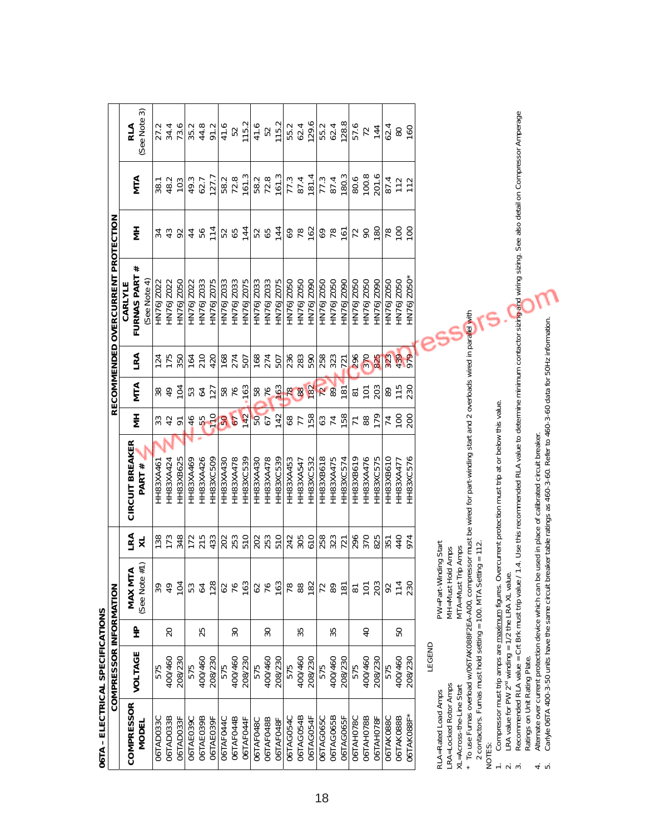| 06TA - ELECTRICAL SPECIFICATIONS                                  |                        |                 |                          |                   |                                                                                                                                   |                  |                    |            |                                            |                       |                |                      |  |
|-------------------------------------------------------------------|------------------------|-----------------|--------------------------|-------------------|-----------------------------------------------------------------------------------------------------------------------------------|------------------|--------------------|------------|--------------------------------------------|-----------------------|----------------|----------------------|--|
|                                                                   | COMPRESSOR INFORMATION |                 |                          |                   |                                                                                                                                   |                  |                    |            | RECOMMENDED OVERCURRENT PROTECTION         |                       |                |                      |  |
| <b>COMPRESSOR</b><br>MODEL                                        | VOLTAGE                | 웊               | MAX MTA<br>(See Note #1) | 로<br>적            | CIRCUIT BREAKER<br>PART #                                                                                                         | Ξ                | MTA                | LRA        | #<br>FURNAS PART<br>See Note 4)<br>CARLYLE | Ξ                     | MTA            | (See Note 3)<br>RLA  |  |
| 06TAD033C                                                         | 575                    |                 |                          | 138               | HH83XA46                                                                                                                          | 33               | 38                 | 124        | HN76JZ022                                  | 34                    | 38.1           |                      |  |
| 06TAD033B                                                         | 400/460                | 20              | 8<br>4<br>9              | 173               | HH83XA424                                                                                                                         | 42               | $\frac{1}{6}$      | 175        | HN76JZ022                                  | 43                    | 48.2           | 34.4                 |  |
| 06TAD033F                                                         | 208/230                |                 | 104                      | 348               | HH83XB625                                                                                                                         |                  | 104                | 350        | HN76JZ050                                  | 92                    | 103            | 73.6                 |  |
| O6TAE039C                                                         | 575                    |                 | 53                       | 172               | HH83XA469                                                                                                                         | 46               | 53<br>64           | 164        | HN76JZ022                                  | 44                    | 49.3           | 35.2                 |  |
| 06TAE039B                                                         | 400/460                | 25              | 64                       | 215               | HH83XA426                                                                                                                         | 55               |                    | 210        | HN76JZ033                                  | 56                    | 62.7           |                      |  |
| O6TAE039F                                                         | 208/230                |                 | 128                      | 433               | HH83XC509                                                                                                                         | 110              | 127                | 420        | HN76JZ075                                  | 114                   | 127.7          | 44.8<br>91.2         |  |
| 06TAF044C                                                         | 575                    |                 |                          |                   | HH83XA430                                                                                                                         |                  |                    | 168        | HN76JZ033                                  |                       | 58.2           | 41.6                 |  |
| 06TAF044B                                                         | 400/460                | SO              | 62<br>76                 | 202               | HH83XA478                                                                                                                         | 50               | 58<br>76           | 274        | HN76JZ033                                  | 52<br>65              | 72.8           | 52                   |  |
| 06TAF044F                                                         | 208/230                |                 | 163                      | 510               | HH83XC539                                                                                                                         | 142              | 163                | 507        | HN76JZ075                                  | 144                   | 161.3          | 115.2                |  |
| 06TAF048C                                                         | 575                    |                 |                          |                   | HH83XA430                                                                                                                         | 50<br>03         |                    | 168        | HN76JZ033                                  |                       | 58.2           |                      |  |
| 06TAF048B                                                         | 400/460                | $\overline{50}$ | 62<br>76                 | 202<br>253        | HH83XA478                                                                                                                         |                  |                    | 274        | HN76JZ033                                  | 52<br>65              | 72.8           | $41.6$<br>52         |  |
| 06TAF048F                                                         | 208/230                |                 | 163                      | 510               | HH83XC539                                                                                                                         | 142              |                    | 507        | HN76JZ075                                  | 144                   | 161.3          | 115.2                |  |
| 06TAG054C                                                         | 575                    |                 | <b>p</b><br>88           |                   | HH83XA453                                                                                                                         |                  | 58 2 3 8 8         | 236<br>283 | HN76JZ050                                  | $69$<br>$78$<br>$762$ | 77.3           | 55.2<br>62.4         |  |
| 06TAG054B                                                         | 400/460                | 35              |                          | 242<br>305        | HH83XA547                                                                                                                         | $\frac{87}{158}$ |                    |            | HN76JZ050                                  |                       | 87.4           |                      |  |
| 06TAG054F                                                         | 208/230                |                 | 182                      | 610               | HH83XC532                                                                                                                         |                  | 182                | 590        | HN76JZ090                                  |                       | 181.4          | 129.6                |  |
| <b>06TAG065C</b>                                                  | 575                    |                 | 72                       | 258<br>323<br>721 | HH83XB618                                                                                                                         | $374$<br>$758$   | <b>2</b><br>89     | 258        | HN76JZ050                                  | 3870                  | 77.3           | 55.2                 |  |
| 06TAG065B                                                         | 400/460                | 55              | 89                       |                   | HH83XA475                                                                                                                         |                  |                    | 323        | HN76JZ050                                  |                       | 87.4           |                      |  |
| 06TAG065F                                                         | 208/230                |                 | 181                      |                   | HH83XC574                                                                                                                         |                  | $\overline{181}$   | 721        | HN76JZ090                                  |                       | 180.3          | $\frac{62.4}{128.8}$ |  |
| O6TAH078C                                                         | 575                    |                 | $\overline{\infty}$      | 296               | HH83XB619                                                                                                                         | $\overline{78}$  | $\overline{\circ}$ | 296        | HN76JZ050                                  | 72                    | 80.6           |                      |  |
| 06TAH078B                                                         | 400/460                | $\overline{Q}$  | $\overline{C}$           | 370               | HH83XA476                                                                                                                         |                  | 101                | 370        | HN76JZ050                                  | $\overline{6}$        | 100.8          | 72                   |  |
| 06TAH078F                                                         | 208/230                |                 | 203                      | 825               | HH83XC575                                                                                                                         | 179              | 203                | 825        | HN76JZ090                                  | 180                   |                | 144                  |  |
| <b>06TAK088C</b>                                                  | 575                    |                 | 92                       | 351               | HH83XB610                                                                                                                         | 74               | $\frac{311}{10}$   | 323        | HN76JZ050                                  | $\frac{8}{100}$       | 87.4           | 62.4                 |  |
| 06TAK088B                                                         | 400/460                | SO              | 114                      | 440               | HH83XA477                                                                                                                         | $\overline{5}$   |                    | 439        | HN76JZ050                                  |                       | $112$<br>$112$ | $\rm ^{8}$           |  |
| O6TAK088F*                                                        | 208/230                |                 | 230                      | 974               | HH83XC576                                                                                                                         | 200              | 230                | 979        | HN76JZ050*                                 | $\overline{5}$        |                | 160                  |  |
|                                                                   | LEGEND                 |                 |                          |                   |                                                                                                                                   |                  |                    |            |                                            |                       |                |                      |  |
| RLA=Rated Load Amps                                               |                        |                 | PW=Part-Winding Start    |                   |                                                                                                                                   |                  |                    |            | 55,                                        |                       |                |                      |  |
| -RA=Locked Rotor Amps                                             |                        |                 | MH=Must Hold Amps        |                   |                                                                                                                                   |                  |                    |            |                                            |                       |                |                      |  |
| XL=Across-the-Line Start                                          |                        |                 | MTA=Must Trip Amps       |                   |                                                                                                                                   |                  |                    |            |                                            |                       |                |                      |  |
|                                                                   |                        |                 |                          |                   | To use Furnas overload w/06TAK08BF2EA-A00, compressor must be wired for part-winding start and 2 overloads wired in parallel with |                  |                    |            |                                            |                       |                |                      |  |
| 2 contactors. Furnas must hold setting = 100. MTA Setti<br>NOTES: |                        |                 | $ing = 112.$             |                   |                                                                                                                                   |                  |                    |            |                                            |                       |                |                      |  |

1. Compressor must trip amps are maximum figures. Overcurrent protection must trip at or below this value.

2. LRA value for PW  $2^{\text{nd}}$  winding = 1/2 the LRA XL value.

3. Recommended RLA value = Crt Brk must trip value / 1.4. Use this recommended RLA value to determine minimum contactor sizing and wiring sizing. See also detail on Compressor Amperage Ratings on Unit Rating Plate.  $\stackrel{-}{\leftarrow}$   $\stackrel{-}{\sim}$   $\stackrel{-}{\sim}$ 

4. Alternate over current protection device which can be used in place of calibrated circuit breaker.

5. Carlyle 06TA 400-3-50 units have the same circuit breaker table ratings as 460-3-60. Refer to 460-3-60 data for 50Hz information.  $rac{1}{4}$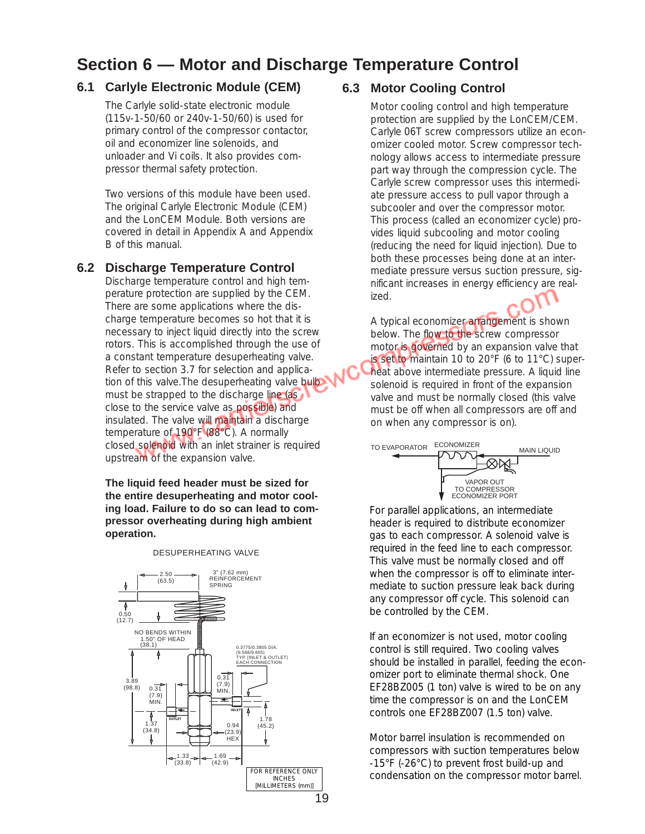# **Section 6 — Motor and Discharge Temperature Control**

## **6.1 Carlyle Electronic Module (CEM)**

The Carlyle solid-state electronic module (115v-1-50/60 or 240v-1-50/60) is used for primary control of the compressor contactor, oil and economizer line solenoids, and unloader and Vi coils. It also provides compressor thermal safety protection.

Two versions of this module have been used. The original Carlyle Electronic Module (CEM) and the LonCEM Module. Both versions are covered in detail in Appendix A and Appendix B of this manual.

#### **6.2 Discharge Temperature Control**

Discharge temperature control and high temperature protection are supplied by the CEM. There are some applications where the discharge temperature becomes so hot that it is necessary to inject liquid directly into the screw rotors. This is accomplished through the use of a constant temperature desuperheating valve. Refer to section 3.7 for selection and application of this valve. The desuperheating valve bulb must be strapped to the discharge line (as close to the service valve as possible) and insulated. The valve will maintain a discharge temperature of 190°F (88°C). A normally closed solenoid with an inlet strainer is required upstream of the expansion valve.

#### **The liquid feed header must be sized for the entire desuperheating and motor cooling load. Failure to do so can lead to compressor overheating during high ambient operation.**



#### **6.3 Motor Cooling Control**

Motor cooling control and high temperature protection are supplied by the LonCEM/CEM. Carlyle 06T screw compressors utilize an economizer cooled motor. Screw compressor technology allows access to intermediate pressure part way through the compression cycle. The Carlyle screw compressor uses this intermediate pressure access to pull vapor through a subcooler and over the compressor motor. This process (called an economizer cycle) provides liquid subcooling and motor cooling (reducing the need for liquid injection). Due to both these processes being done at an intermediate pressure versus suction pressure, significant increases in energy efficiency are realized.

A typical economizer arrangement is shown below. The flow to the screw compressor motor is governed by an expansion valve that is set to maintain 10 to 20°F (6 to 11°C) superheat above intermediate pressure. A liquid line solenoid is required in front of the expansion valve and must be normally closed (this valve must be off when all compressors are off and on when any compressor is on).



For parallel applications, an intermediate header is required to distribute economizer gas to each compressor. A solenoid valve is required in the feed line to each compressor. This valve must be normally closed and off when the compressor is off to eliminate intermediate to suction pressure leak back during any compressor off cycle. This solenoid can be controlled by the CEM.

If an economizer is not used, motor cooling control is still required. Two cooling valves should be installed in parallel, feeding the economizer port to eliminate thermal shock. One EF28BZ005 (1 ton) valve is wired to be on any time the compressor is on and the LonCEM controls one EF28BZ007 (1.5 ton) valve.

Motor barrel insulation is recommended on compressors with suction temperatures below -15°F (-26°C) to prevent frost build-up and FOR REFERENCE ONLY<br>INCHES CONDENSATION ON the compressor motor barrel.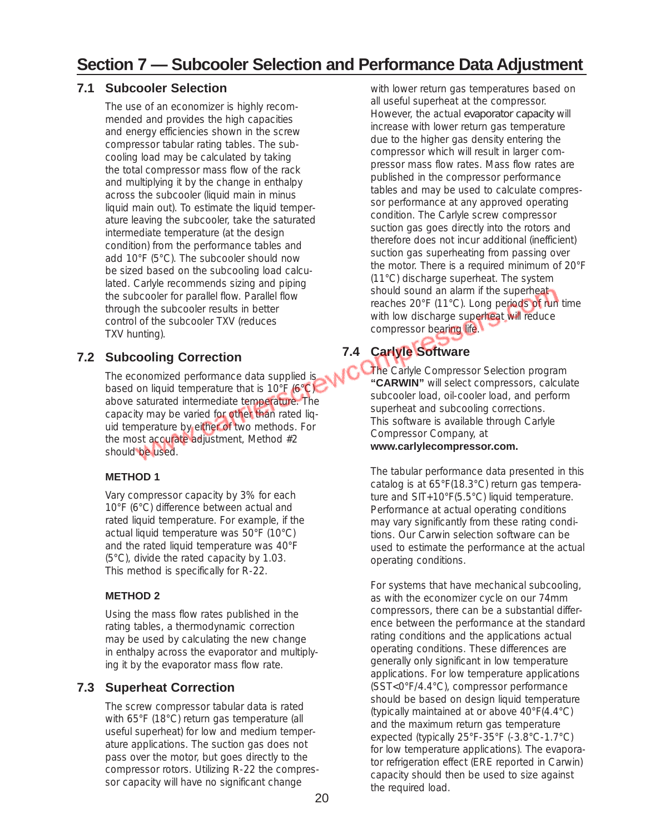## **7.1 Subcooler Selection**

The use of an economizer is highly recommended and provides the high capacities and energy efficiencies shown in the screw compressor tabular rating tables. The subcooling load may be calculated by taking the total compressor mass flow of the rack and multiplying it by the change in enthalpy across the subcooler (liquid main in minus liquid main out). To estimate the liquid temperature leaving the subcooler, take the saturated intermediate temperature (at the design condition) from the performance tables and add 10°F (5°C). The subcooler should now be sized based on the subcooling load calculated. Carlyle recommends sizing and piping the subcooler for parallel flow. Parallel flow through the subcooler results in better control of the subcooler TXV (reduces TXV hunting).

# **7.2 Subcooling Correction**

The economized performance data supplied is based on liquid temperature that is 10°F (6°C) above saturated intermediate temperature. The capacity may be varied for other than rated liquid temperature by either of two methods. For the most accurate adjustment, Method #2 should be used.

# **METHOD 1**

Vary compressor capacity by 3% for each 10°F (6°C) difference between actual and rated liquid temperature. For example, if the actual liquid temperature was 50°F (10°C) and the rated liquid temperature was 40°F (5°C), divide the rated capacity by 1.03. This method is specifically for R-22.

## **METHOD 2**

Using the mass flow rates published in the rating tables, a thermodynamic correction may be used by calculating the new change in enthalpy across the evaporator and multiplying it by the evaporator mass flow rate.

# **7.3 Superheat Correction**

The screw compressor tabular data is rated with 65°F (18°C) return gas temperature (all useful superheat) for low and medium temperature applications. The suction gas does not pass over the motor, but goes directly to the compressor rotors. Utilizing R-22 the compressor capacity will have no significant change

with lower return gas temperatures based on all useful superheat at the compressor. However, the actual *evaporator capacity* will increase with lower return gas temperature due to the higher gas density entering the compressor which will result in larger compressor mass flow rates. Mass flow rates are published in the compressor performance tables and may be used to calculate compressor performance at any approved operating condition. The Carlyle screw compressor suction gas goes directly into the rotors and therefore does not incur additional (inefficient) suction gas superheating from passing over the motor. There is a required minimum of 20°F (11°C) discharge superheat. The system should sound an alarm if the superheat reaches 20°F (11°C). Long periods of run time with low discharge superheat will reduce compressor bearing life.

# **7.4 Carlyle Software**

The Carlyle Compressor Selection program **"CARWIN"** will select compressors, calculate subcooler load, oil-cooler load, and perform superheat and subcooling corrections. This software is available through Carlyle Compressor Company, at

## **www.carlylecompressor.com.**

The tabular performance data presented in this catalog is at 65°F(18.3°C) return gas temperature and SIT+10°F(5.5°C) liquid temperature. Performance at actual operating conditions may vary significantly from these rating conditions. Our Carwin selection software can be used to estimate the performance at the actual operating conditions.

For systems that have mechanical subcooling, as with the economizer cycle on our 74mm compressors, there can be a substantial difference between the performance at the standard rating conditions and the applications actual operating conditions. These differences are generally only significant in low temperature applications. For low temperature applications (SST<0°F/4.4°C), compressor performance should be based on design liquid temperature (typically maintained at or above 40°F(4.4°C) and the maximum return gas temperature expected (typically 25°F-35°F (-3.8°C-1.7°C) for low temperature applications). The evaporator refrigeration effect (ERE reported in Carwin) capacity should then be used to size against the required load.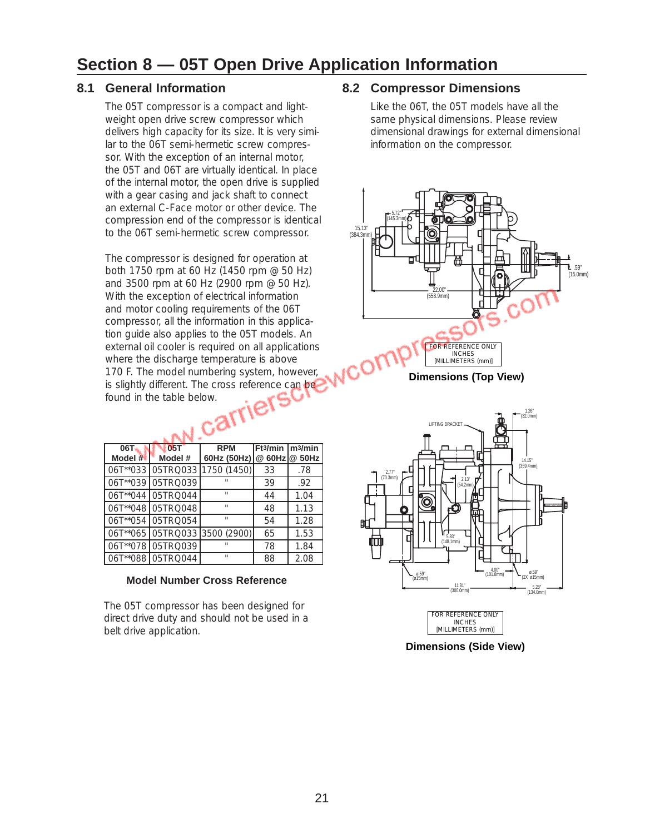# **Section 8 — 05T Open Drive Application Information**

## **8.1 General Information**

The 05T compressor is a compact and lightweight open drive screw compressor which delivers high capacity for its size. It is very similar to the 06T semi-hermetic screw compressor. With the exception of an internal motor, the 05T and 06T are virtually identical. In place of the internal motor, the open drive is supplied with a gear casing and jack shaft to connect an external C-Face motor or other device. The compression end of the compressor is identical to the 06T semi-hermetic screw compressor.

The compressor is designed for operation at both 1750 rpm at 60 Hz (1450 rpm @ 50 Hz) and 3500 rpm at 60 Hz (2900 rpm @ 50 Hz). With the exception of electrical information and motor cooling requirements of the 06T compressor, all the information in this application guide also applies to the 05T models. An external oil cooler is required on all applications where the discharge temperature is above 170 F. The model numbering system, however, is slightly different. The cross reference can be<br>found in the table below. found in the table below.

| <b>06T</b><br>Model $#$ | 05T<br>Model #    | <b>RPM</b><br>60Hz (50Hz) | Ft3/min | m3/min<br>@ 60Hz @ 50Hz |
|-------------------------|-------------------|---------------------------|---------|-------------------------|
| 06T**033                | 05TRQ033          | 1750 (1450)               | 33      | .78                     |
| 06T**039                | 05TRQ039          | $\mathbf{u}$              | 39      | .92                     |
| 06T**044                | 05TRQ044          | H.                        | 44      | 1.04                    |
|                         | 06T**048 05TRQ048 | $\mathbf{u}$              | 48      | 1.13                    |
|                         | 06T**054 05TRQ054 | u,                        | 54      | 1.28                    |
|                         | 06T**065 05TRQ033 | 3500 (2900)               | 65      | 1.53                    |
| 06T**078                | 05TRQ039          | $\mathbf{u}$              | 78      | 1.84                    |
|                         | 06T**088 05TRQ044 | $\mathbf{u}$              | 88      | 2.08                    |

#### **Model Number Cross Reference**

The 05T compressor has been designed for direct drive duty and should not be used in a belt drive application.

#### **8.2 Compressor Dimensions**

Like the 06T, the 05T models have all the same physical dimensions. Please review dimensional drawings for external dimensional information on the compressor.



**Dimensions (Top View)**



**Dimensions (Side View)** INCHES [MILLIMETERS (mm)]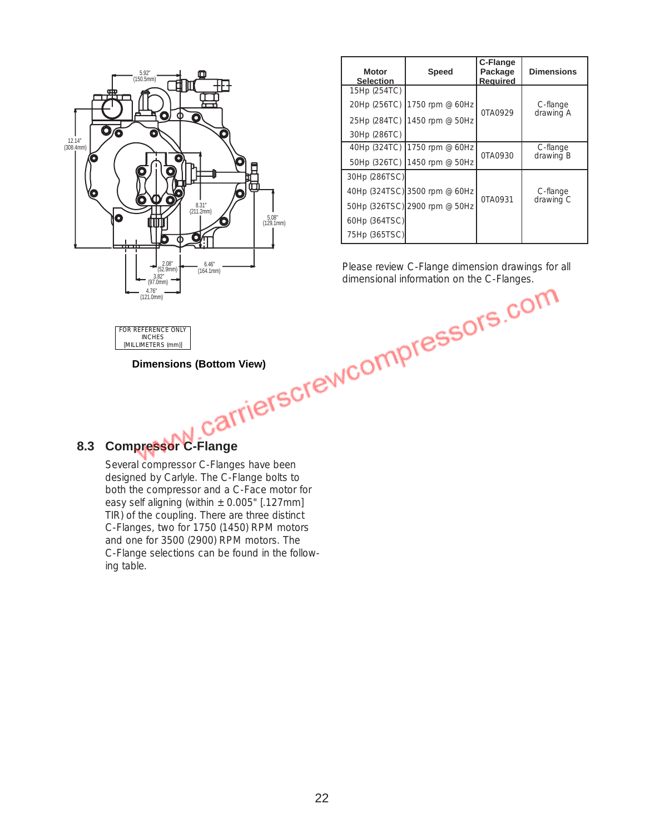

| <b>Motor</b><br><b>Selection</b> | <b>Speed</b>                  | C-Flange<br>Package<br><b>Required</b> | <b>Dimensions</b> |  |
|----------------------------------|-------------------------------|----------------------------------------|-------------------|--|
| 15Hp (254TC)                     |                               |                                        |                   |  |
|                                  | 20Hp (256TC) 1750 rpm @ 60Hz  | 0TA0929                                | C-flange          |  |
|                                  | 25Hp (284TC) 1450 rpm @ 50Hz  |                                        | drawing A         |  |
| 30Hp (286TC)                     |                               |                                        |                   |  |
|                                  | 40Hp (324TC) 1750 rpm @ 60Hz  |                                        | C-flange          |  |
|                                  | 50Hp (326TC) 1450 rpm @ 50Hz  | 0TA0930                                | drawing B         |  |
| 30Hp (286TSC)                    |                               |                                        |                   |  |
|                                  | 40Hp (324TSC) 3500 rpm @ 60Hz |                                        | C-flange          |  |
|                                  | 50Hp (326TSC) 2900 rpm @ 50Hz | 0TA0931                                | drawing C         |  |
| 60Hp (364TSC)                    |                               |                                        |                   |  |
| 75Hp (365TSC)                    |                               |                                        |                   |  |

Please review C-Flange dimension drawings for all dimensional information on the C-Flanges. (164.1mm)<br>dimensional information on the C-Flanges.

FOR REFERENCE ONLY INCHES [MILLIMETERS (mm)]

**Dimensions (Bottom View)**

# **8.3 Compressor C-Flange**

Several compressor C-Flanges have been designed by Carlyle. The C-Flange bolts to both the compressor and a C-Face motor for easy self aligning (within  $\pm$  0.005" [.127mm] TIR) of the coupling. There are three distinct C-Flanges, two for 1750 (1450) RPM motors and one for 3500 (2900) RPM motors. The C-Flange selections can be found in the following table.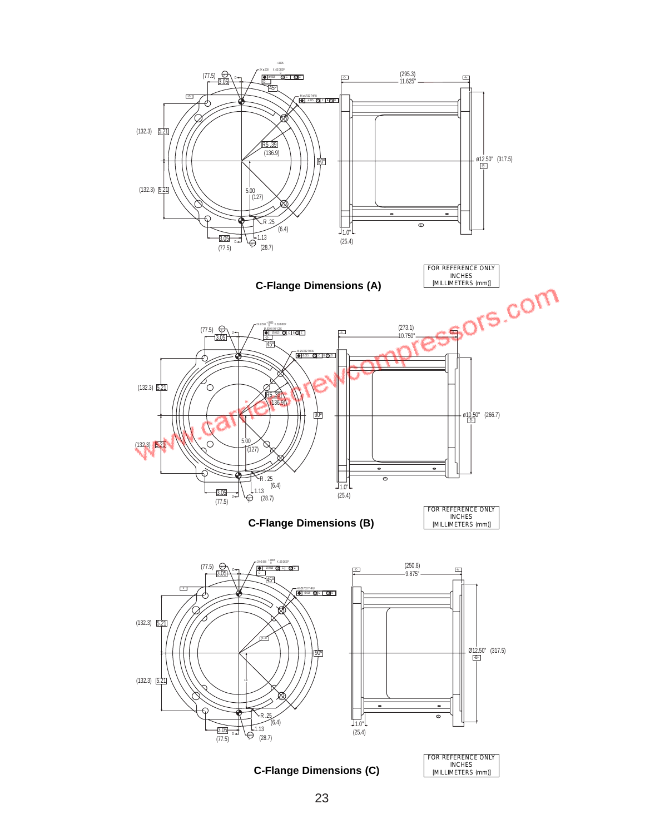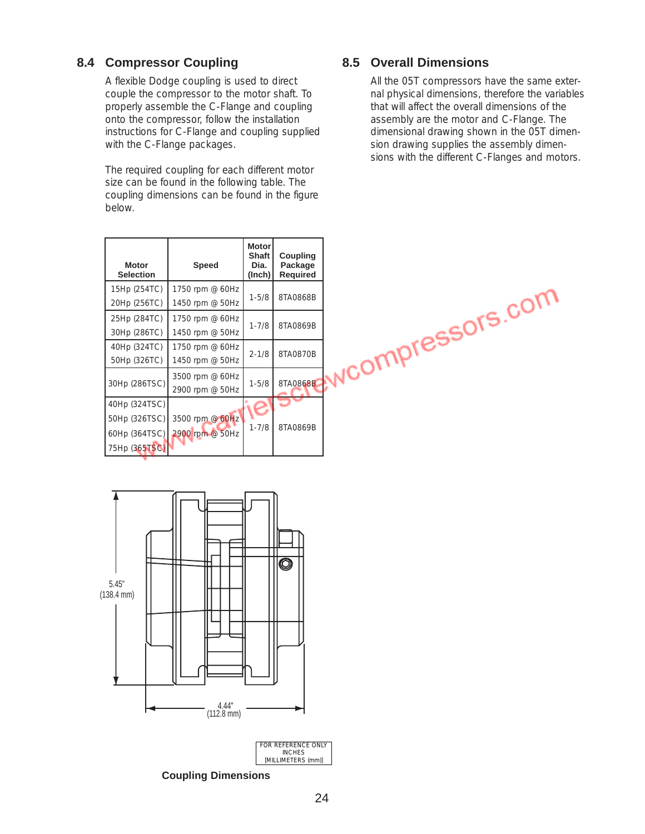# **8.4 Compressor Coupling**

A flexible Dodge coupling is used to direct couple the compressor to the motor shaft. To properly assemble the C-Flange and coupling onto the compressor, follow the installation instructions for C-Flange and coupling supplied with the C-Flange packages.

The required coupling for each different motor size can be found in the following table. The coupling dimensions can be found in the figure below.

| <b>Motor</b><br><b>Selection</b> | Speed                              | <b>Motor</b><br><b>Shaft</b><br>Dia.<br>(Inch) | Coupling<br>Package<br><b>Required</b> |
|----------------------------------|------------------------------------|------------------------------------------------|----------------------------------------|
| 15Hp (254TC)<br>20Hp (256TC)     | 1750 rpm @ 60Hz<br>1450 rpm @ 50Hz | $1 - 5/8$                                      | 8TA0868B                               |
| 25Hp (284TC)<br>30Hp (286TC)     | 1750 rpm @ 60Hz<br>1450 rpm @ 50Hz | $1 - 7/8$                                      | 8TA0869B                               |
| 40Hp (324TC)<br>50Hp (326TC)     | 1750 rpm @ 60Hz<br>1450 rpm @ 50Hz | $2 - 1/8$                                      | 8TA0870B                               |
| 30Hp (286TSC)                    | 3500 rpm @ 60Hz<br>2900 rpm @ 50Hz | $1 - 5/8$                                      | 8TA0868B                               |
| 40Hp (324TSC)<br>50Hp (326TSC)   | 3500 rpm @ 60Hz                    |                                                |                                        |
| 60Hp (364TSC)                    | 2900 rpm @ 50Hz                    | $1 - 7/8$                                      | 8TA0869B                               |
| 75Hp (365TSC)                    |                                    |                                                |                                        |



All the 05T compressors have the same external physical dimensions, therefore the variables that will affect the overall dimensions of the assembly are the motor and C-Flange. The dimensional drawing shown in the 05T dimension drawing supplies the assembly dimensions with the different C-Flanges and motors.





**Coupling Dimensions**